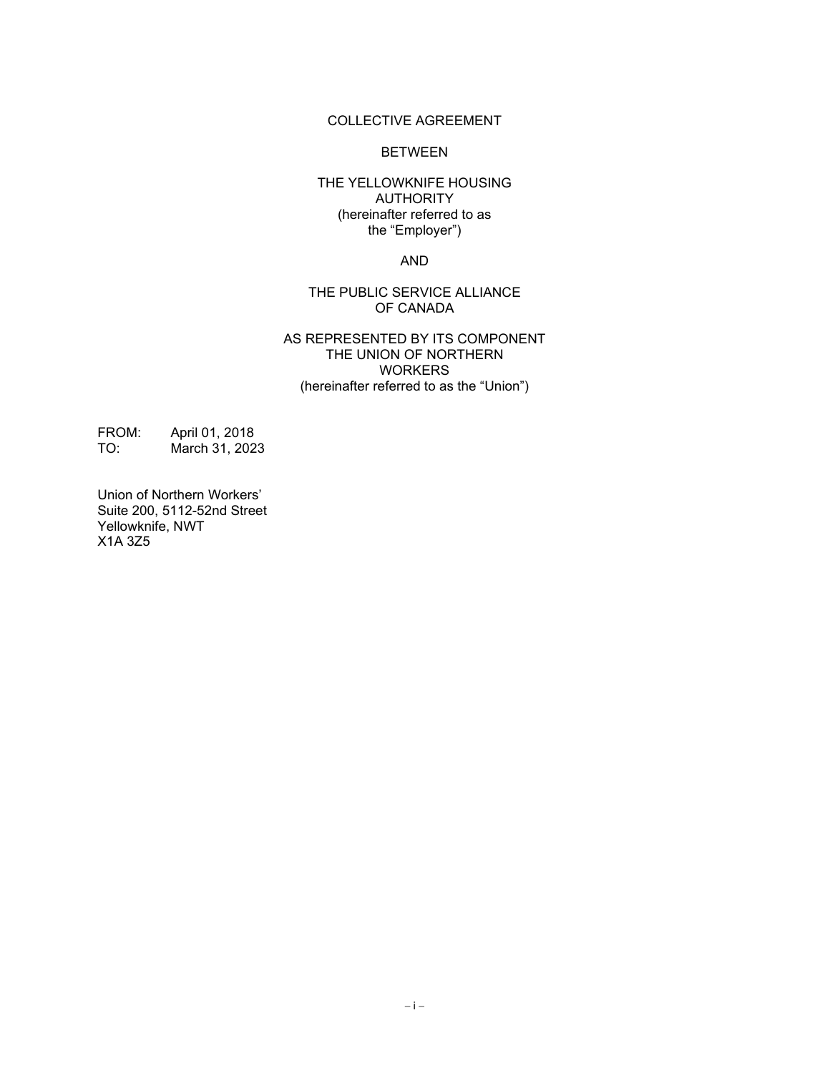#### COLLECTIVE AGREEMENT

#### **BETWEEN**

#### THE YELLOWKNIFE HOUSING AUTHORITY (hereinafter referred to as the "Employer")

AND

#### THE PUBLIC SERVICE ALLIANCE OF CANADA

#### AS REPRESENTED BY ITS COMPONENT THE UNION OF NORTHERN WORKERS (hereinafter referred to as the "Union")

FROM: April 01, 2018<br>TO: March 31, 202 March 31, 2023

Union of Northern Workers' Suite 200, 5112-52nd Street Yellowknife, NWT X1A 3Z5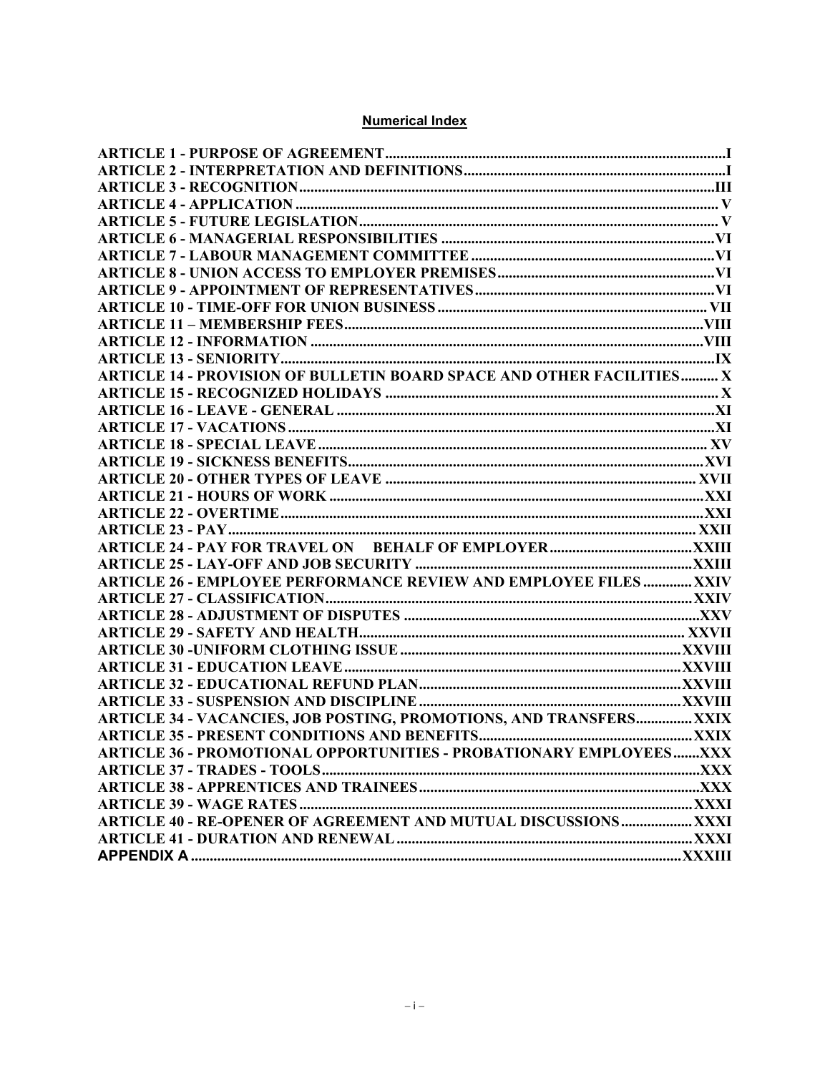#### **Numerical Index**

| ARTICLE 14 - PROVISION OF BULLETIN BOARD SPACE AND OTHER FACILITIES X      |  |
|----------------------------------------------------------------------------|--|
|                                                                            |  |
|                                                                            |  |
|                                                                            |  |
|                                                                            |  |
|                                                                            |  |
|                                                                            |  |
|                                                                            |  |
|                                                                            |  |
|                                                                            |  |
|                                                                            |  |
|                                                                            |  |
| <b>ARTICLE 26 - EMPLOYEE PERFORMANCE REVIEW AND EMPLOYEE FILES  XXIV</b>   |  |
|                                                                            |  |
|                                                                            |  |
|                                                                            |  |
|                                                                            |  |
|                                                                            |  |
|                                                                            |  |
|                                                                            |  |
| <b>ARTICLE 34 - VACANCIES, JOB POSTING, PROMOTIONS, AND TRANSFERS XXIX</b> |  |
|                                                                            |  |
| ARTICLE 36 - PROMOTIONAL OPPORTUNITIES - PROBATIONARY EMPLOYEESXXX         |  |
|                                                                            |  |
|                                                                            |  |
|                                                                            |  |
| <b>ARTICLE 40 - RE-OPENER OF AGREEMENT AND MUTUAL DISCUSSIONS XXXI</b>     |  |
|                                                                            |  |
|                                                                            |  |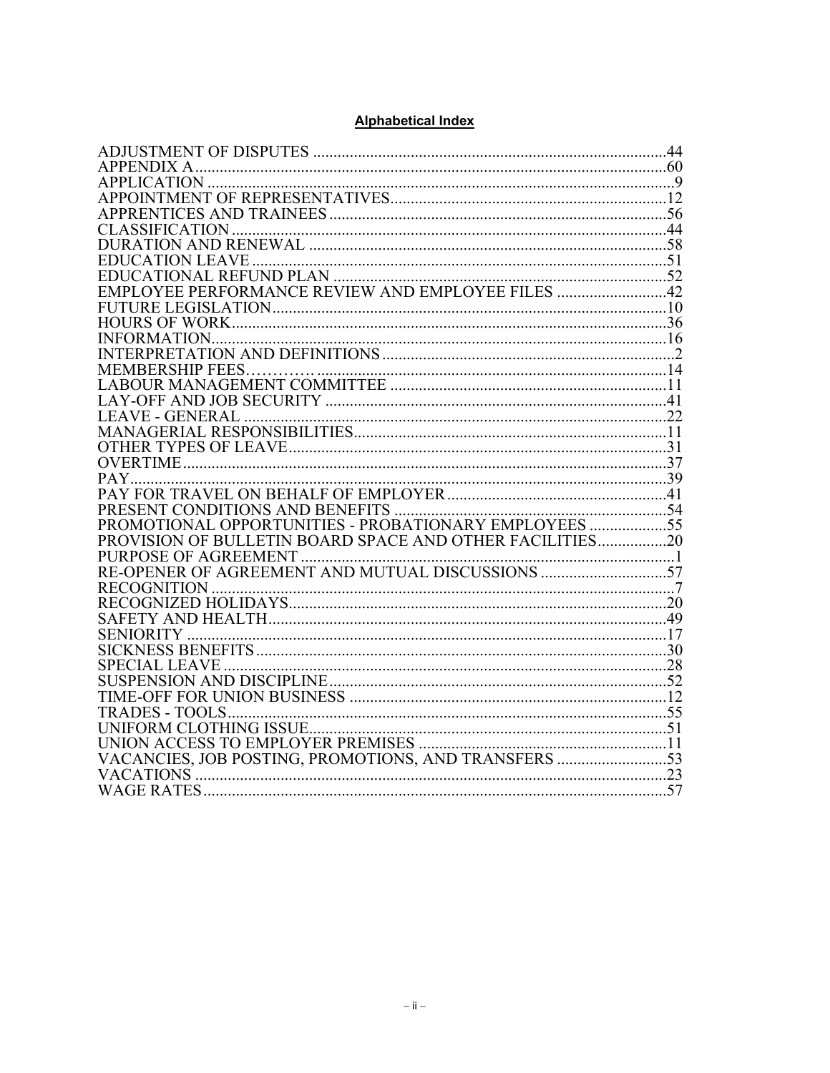#### **Alphabetical Index**

| $\label{eq:3} \begin{minipage}{0.9\linewidth} \textbf{INFORMATION} \textbf{S} \textbf{0.000} \textbf{0.000} \textbf{0.000} \textbf{0.0000} \textbf{0.0000} \textbf{0.0000} \textbf{0.0000} \textbf{0.00000} \textbf{0.00000} \textbf{0.00000} \textbf{0.00000} \textbf{0.00000} \textbf{0.00000} \textbf{0.00000} \textbf{0.00000} \textbf{0.00000} \textbf{$                                                                                     |  |
|---------------------------------------------------------------------------------------------------------------------------------------------------------------------------------------------------------------------------------------------------------------------------------------------------------------------------------------------------------------------------------------------------------------------------------------------------|--|
|                                                                                                                                                                                                                                                                                                                                                                                                                                                   |  |
|                                                                                                                                                                                                                                                                                                                                                                                                                                                   |  |
|                                                                                                                                                                                                                                                                                                                                                                                                                                                   |  |
|                                                                                                                                                                                                                                                                                                                                                                                                                                                   |  |
| $\begin{tabular}{c} LEAVE-GENERAL  \end{tabular} {\footnotesize \begin{tabular}{l} \hline \textbf{1} & \textbf{2} & \textbf{3} & \textbf{5} & \textbf{6} & \textbf{6} & \textbf{7} & \textbf{8} & \textbf{9} & \textbf{10} & \textbf{11} \\ \textbf{1} & \textbf{1} & \textbf{1} & \textbf{11} & \textbf{12} & \textbf{13} & \textbf{14} & \textbf{15} \\ \textbf{2} & \textbf{3} & \textbf{4} & \textbf{5} & \textbf{5} & \textbf{6} & \textbf{$ |  |
|                                                                                                                                                                                                                                                                                                                                                                                                                                                   |  |
|                                                                                                                                                                                                                                                                                                                                                                                                                                                   |  |
|                                                                                                                                                                                                                                                                                                                                                                                                                                                   |  |
|                                                                                                                                                                                                                                                                                                                                                                                                                                                   |  |
|                                                                                                                                                                                                                                                                                                                                                                                                                                                   |  |
|                                                                                                                                                                                                                                                                                                                                                                                                                                                   |  |
| PROMOTIONAL OPPORTUNITIES - PROBATIONARY EMPLOYEES 55                                                                                                                                                                                                                                                                                                                                                                                             |  |
| PROVISION OF BULLETIN BOARD SPACE AND OTHER FACILITIES20                                                                                                                                                                                                                                                                                                                                                                                          |  |
|                                                                                                                                                                                                                                                                                                                                                                                                                                                   |  |
|                                                                                                                                                                                                                                                                                                                                                                                                                                                   |  |
|                                                                                                                                                                                                                                                                                                                                                                                                                                                   |  |
|                                                                                                                                                                                                                                                                                                                                                                                                                                                   |  |
|                                                                                                                                                                                                                                                                                                                                                                                                                                                   |  |
|                                                                                                                                                                                                                                                                                                                                                                                                                                                   |  |
|                                                                                                                                                                                                                                                                                                                                                                                                                                                   |  |
|                                                                                                                                                                                                                                                                                                                                                                                                                                                   |  |
|                                                                                                                                                                                                                                                                                                                                                                                                                                                   |  |
|                                                                                                                                                                                                                                                                                                                                                                                                                                                   |  |
|                                                                                                                                                                                                                                                                                                                                                                                                                                                   |  |
|                                                                                                                                                                                                                                                                                                                                                                                                                                                   |  |
|                                                                                                                                                                                                                                                                                                                                                                                                                                                   |  |
| VACANCIES, JOB POSTING, PROMOTIONS, AND TRANSFERS 53                                                                                                                                                                                                                                                                                                                                                                                              |  |
|                                                                                                                                                                                                                                                                                                                                                                                                                                                   |  |
|                                                                                                                                                                                                                                                                                                                                                                                                                                                   |  |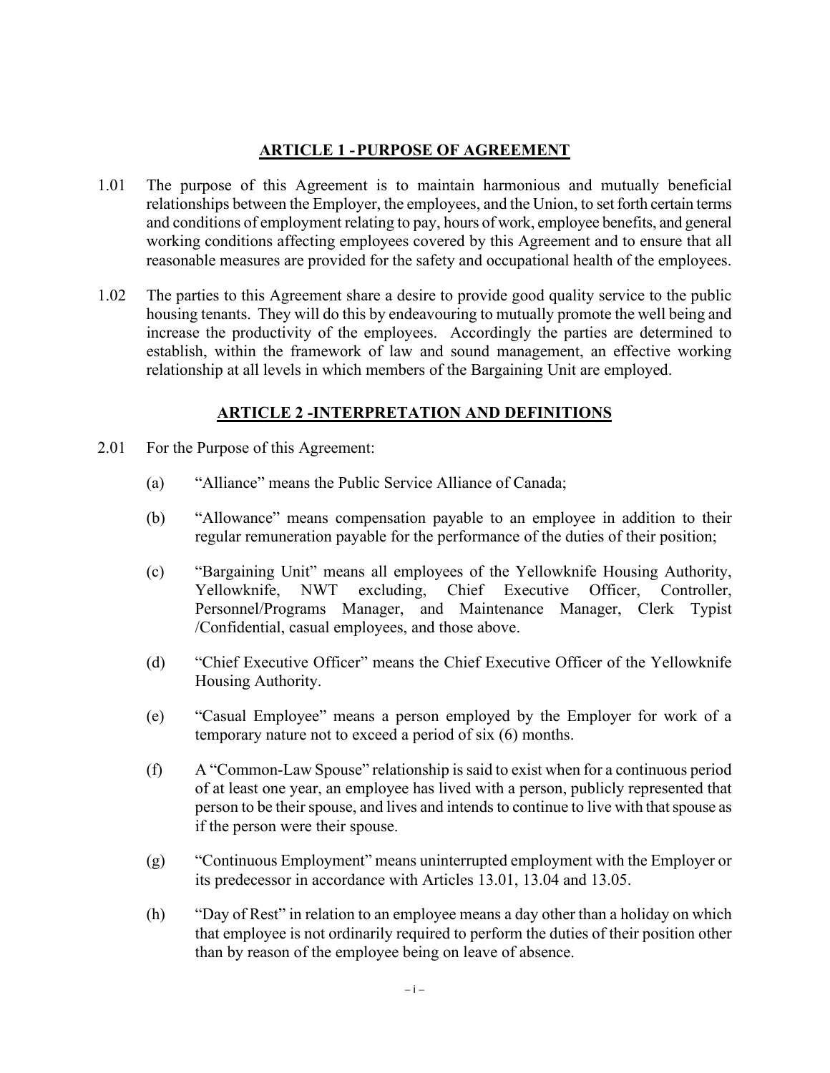### **ARTICLE 1 -PURPOSE OF AGREEMENT**

- 1.01 The purpose of this Agreement is to maintain harmonious and mutually beneficial relationships between the Employer, the employees, and the Union, to set forth certain terms and conditions of employment relating to pay, hours of work, employee benefits, and general working conditions affecting employees covered by this Agreement and to ensure that all reasonable measures are provided for the safety and occupational health of the employees.
- 1.02 The parties to this Agreement share a desire to provide good quality service to the public housing tenants. They will do this by endeavouring to mutually promote the well being and increase the productivity of the employees. Accordingly the parties are determined to establish, within the framework of law and sound management, an effective working relationship at all levels in which members of the Bargaining Unit are employed.

### **ARTICLE 2 -INTERPRETATION AND DEFINITIONS**

- 2.01 For the Purpose of this Agreement:
	- (a) "Alliance" means the Public Service Alliance of Canada;
	- (b) "Allowance" means compensation payable to an employee in addition to their regular remuneration payable for the performance of the duties of their position;
	- (c) "Bargaining Unit" means all employees of the Yellowknife Housing Authority, Yellowknife, NWT excluding, Chief Executive Officer, Controller, Personnel/Programs Manager, and Maintenance Manager, Clerk Typist /Confidential, casual employees, and those above.
	- (d) "Chief Executive Officer" means the Chief Executive Officer of the Yellowknife Housing Authority.
	- (e) "Casual Employee" means a person employed by the Employer for work of a temporary nature not to exceed a period of six (6) months.
	- (f) A "Common-Law Spouse" relationship is said to exist when for a continuous period of at least one year, an employee has lived with a person, publicly represented that person to be their spouse, and lives and intends to continue to live with that spouse as if the person were their spouse.
	- (g) "Continuous Employment" means uninterrupted employment with the Employer or its predecessor in accordance with Articles 13.01, 13.04 and 13.05.
	- (h) "Day of Rest" in relation to an employee means a day other than a holiday on which that employee is not ordinarily required to perform the duties of their position other than by reason of the employee being on leave of absence.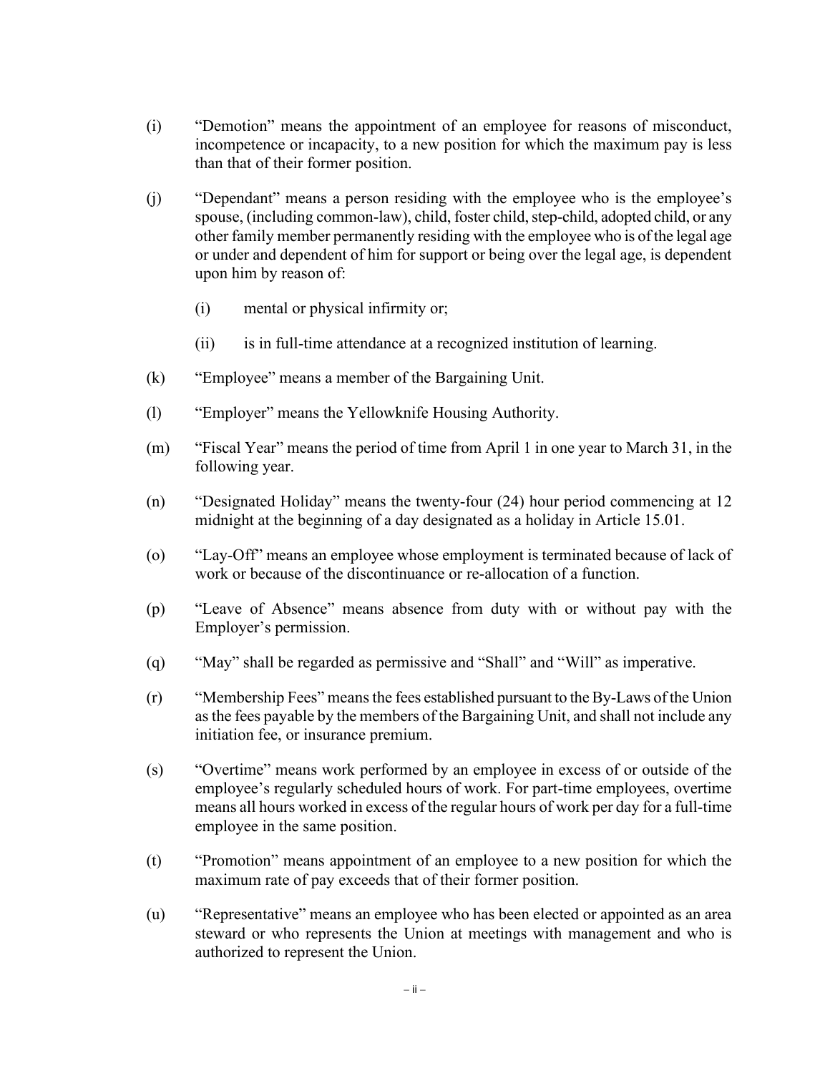- (i) "Demotion" means the appointment of an employee for reasons of misconduct, incompetence or incapacity, to a new position for which the maximum pay is less than that of their former position.
- (j) "Dependant" means a person residing with the employee who is the employee's spouse, (including common-law), child, foster child, step-child, adopted child, or any other family member permanently residing with the employee who is of the legal age or under and dependent of him for support or being over the legal age, is dependent upon him by reason of:
	- (i) mental or physical infirmity or;
	- (ii) is in full-time attendance at a recognized institution of learning.
- (k) "Employee" means a member of the Bargaining Unit.
- (l) "Employer" means the Yellowknife Housing Authority.
- (m) "Fiscal Year" means the period of time from April 1 in one year to March 31, in the following year.
- (n) "Designated Holiday" means the twenty-four (24) hour period commencing at 12 midnight at the beginning of a day designated as a holiday in Article 15.01.
- (o) "Lay-Off" means an employee whose employment is terminated because of lack of work or because of the discontinuance or re-allocation of a function.
- (p) "Leave of Absence" means absence from duty with or without pay with the Employer's permission.
- (q) "May" shall be regarded as permissive and "Shall" and "Will" as imperative.
- (r) "Membership Fees" means the fees established pursuant to the By-Laws of the Union as the fees payable by the members of the Bargaining Unit, and shall not include any initiation fee, or insurance premium.
- (s) "Overtime" means work performed by an employee in excess of or outside of the employee's regularly scheduled hours of work. For part-time employees, overtime means all hours worked in excess of the regular hours of work per day for a full-time employee in the same position.
- (t) "Promotion" means appointment of an employee to a new position for which the maximum rate of pay exceeds that of their former position.
- (u) "Representative" means an employee who has been elected or appointed as an area steward or who represents the Union at meetings with management and who is authorized to represent the Union.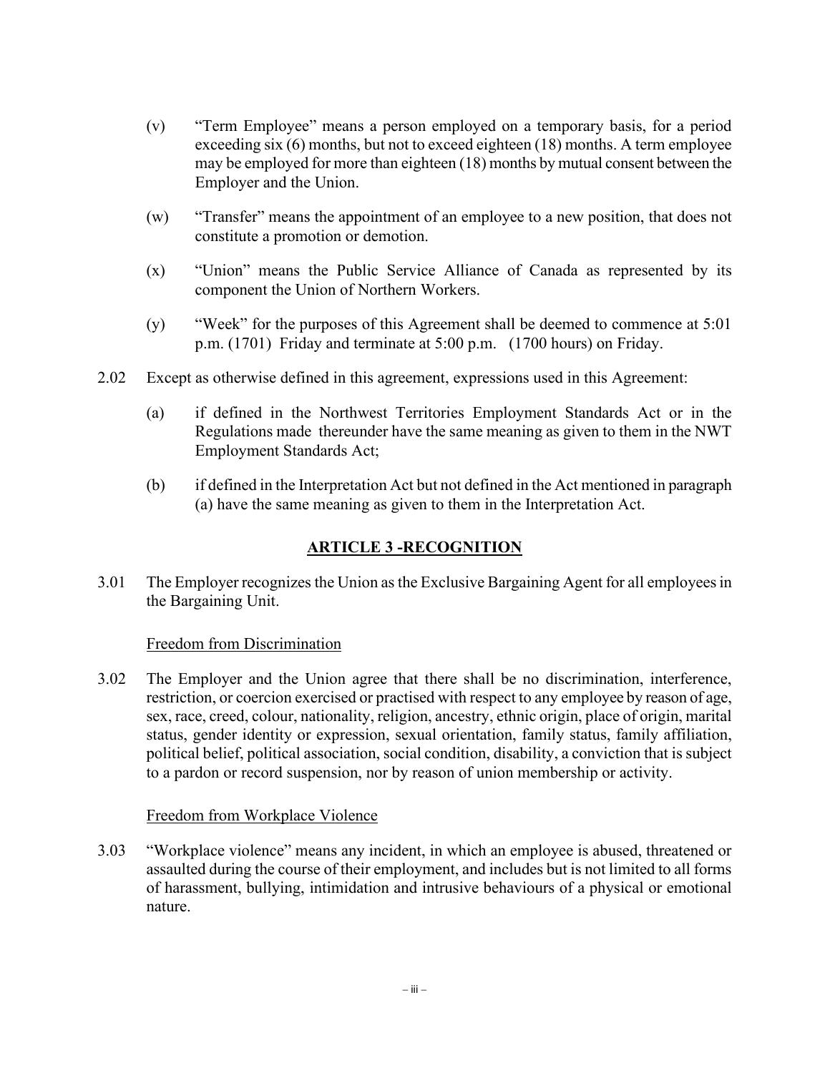- (v) "Term Employee" means a person employed on a temporary basis, for a period exceeding six (6) months, but not to exceed eighteen (18) months. A term employee may be employed for more than eighteen (18) months by mutual consent between the Employer and the Union.
- (w) "Transfer" means the appointment of an employee to a new position, that does not constitute a promotion or demotion.
- (x) "Union" means the Public Service Alliance of Canada as represented by its component the Union of Northern Workers.
- (y) "Week" for the purposes of this Agreement shall be deemed to commence at 5:01 p.m. (1701) Friday and terminate at 5:00 p.m. (1700 hours) on Friday.
- 2.02 Except as otherwise defined in this agreement, expressions used in this Agreement:
	- (a) if defined in the Northwest Territories Employment Standards Act or in the Regulations made thereunder have the same meaning as given to them in the NWT Employment Standards Act;
	- (b) if defined in the Interpretation Act but not defined in the Act mentioned in paragraph (a) have the same meaning as given to them in the Interpretation Act.

# **ARTICLE 3 -RECOGNITION**

3.01 The Employer recognizes the Union as the Exclusive Bargaining Agent for all employees in the Bargaining Unit.

#### Freedom from Discrimination

3.02 The Employer and the Union agree that there shall be no discrimination, interference, restriction, or coercion exercised or practised with respect to any employee by reason of age, sex, race, creed, colour, nationality, religion, ancestry, ethnic origin, place of origin, marital status, gender identity or expression, sexual orientation, family status, family affiliation, political belief, political association, social condition, disability, a conviction that is subject to a pardon or record suspension, nor by reason of union membership or activity.

#### Freedom from Workplace Violence

3.03 "Workplace violence" means any incident, in which an employee is abused, threatened or assaulted during the course of their employment, and includes but is not limited to all forms of harassment, bullying, intimidation and intrusive behaviours of a physical or emotional nature.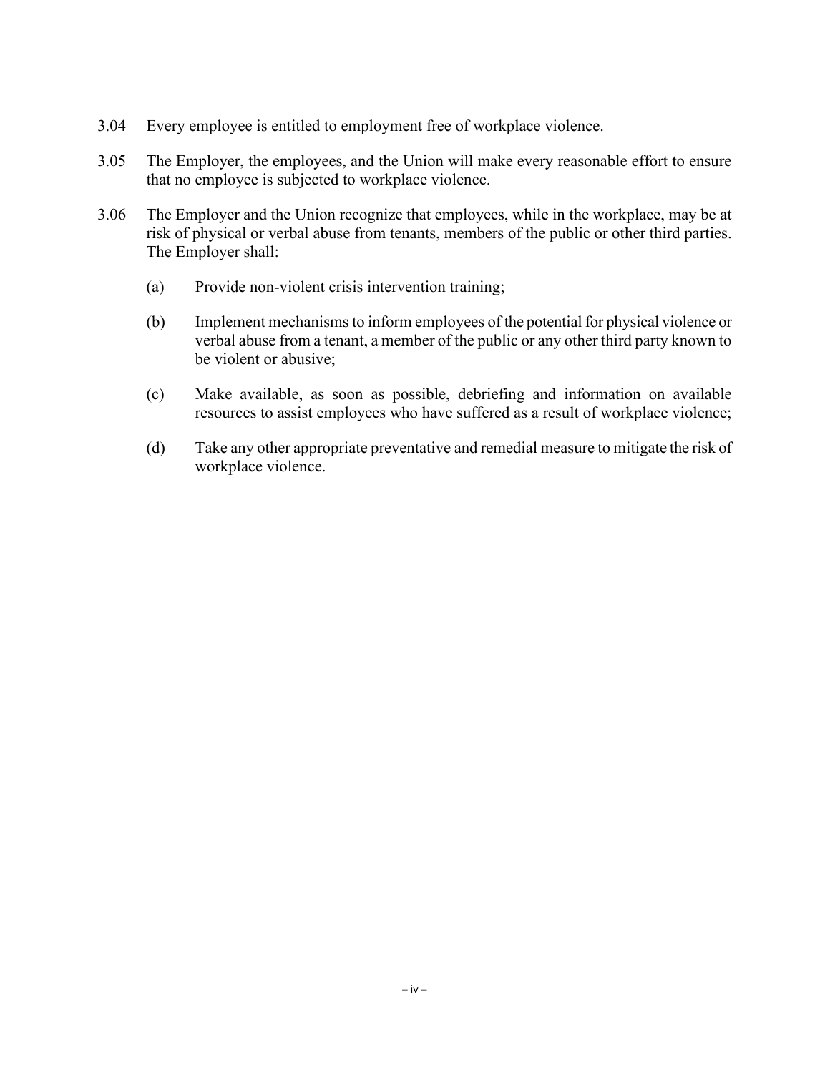- 3.04 Every employee is entitled to employment free of workplace violence.
- 3.05 The Employer, the employees, and the Union will make every reasonable effort to ensure that no employee is subjected to workplace violence.
- 3.06 The Employer and the Union recognize that employees, while in the workplace, may be at risk of physical or verbal abuse from tenants, members of the public or other third parties. The Employer shall:
	- (a) Provide non-violent crisis intervention training;
	- (b) Implement mechanismsto inform employees of the potential for physical violence or verbal abuse from a tenant, a member of the public or any other third party known to be violent or abusive;
	- (c) Make available, as soon as possible, debriefing and information on available resources to assist employees who have suffered as a result of workplace violence;
	- (d) Take any other appropriate preventative and remedial measure to mitigate the risk of workplace violence.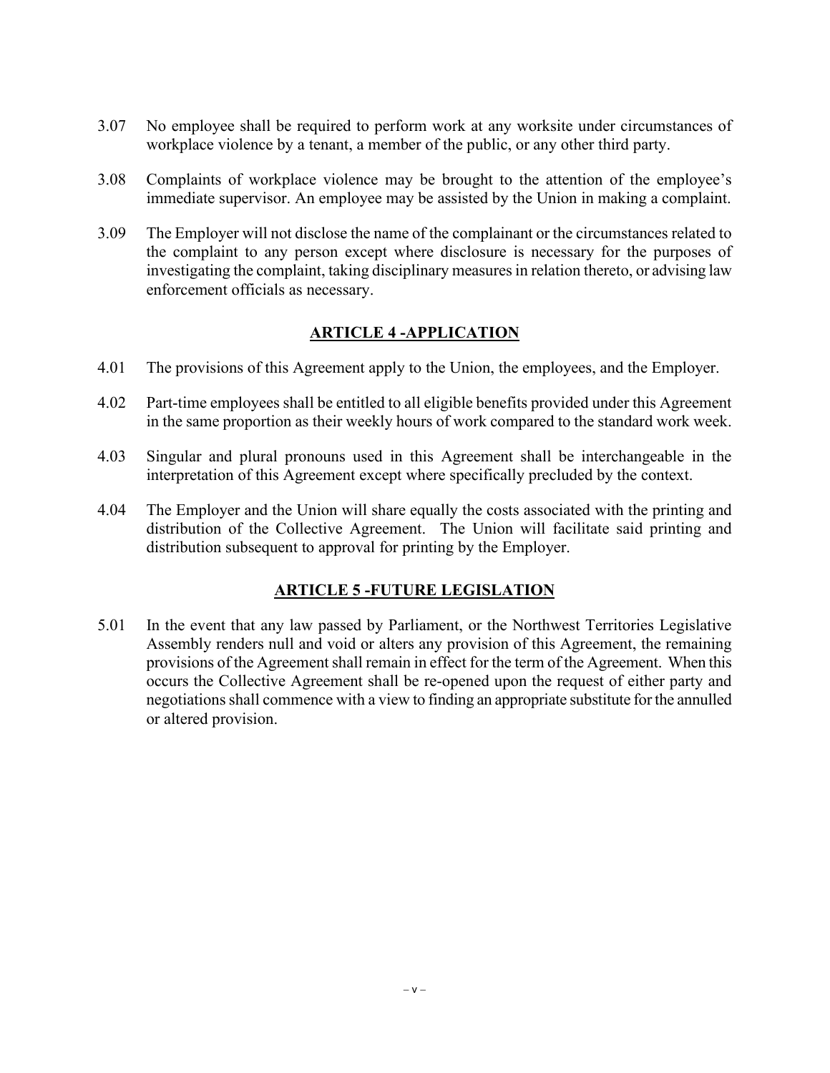- 3.07 No employee shall be required to perform work at any worksite under circumstances of workplace violence by a tenant, a member of the public, or any other third party.
- 3.08 Complaints of workplace violence may be brought to the attention of the employee's immediate supervisor. An employee may be assisted by the Union in making a complaint.
- 3.09 The Employer will not disclose the name of the complainant or the circumstances related to the complaint to any person except where disclosure is necessary for the purposes of investigating the complaint, taking disciplinary measures in relation thereto, or advising law enforcement officials as necessary.

### **ARTICLE 4 -APPLICATION**

- 4.01 The provisions of this Agreement apply to the Union, the employees, and the Employer.
- 4.02 Part-time employees shall be entitled to all eligible benefits provided under this Agreement in the same proportion as their weekly hours of work compared to the standard work week.
- 4.03 Singular and plural pronouns used in this Agreement shall be interchangeable in the interpretation of this Agreement except where specifically precluded by the context.
- 4.04 The Employer and the Union will share equally the costs associated with the printing and distribution of the Collective Agreement. The Union will facilitate said printing and distribution subsequent to approval for printing by the Employer.

### **ARTICLE 5 -FUTURE LEGISLATION**

5.01 In the event that any law passed by Parliament, or the Northwest Territories Legislative Assembly renders null and void or alters any provision of this Agreement, the remaining provisions of the Agreement shall remain in effect for the term of the Agreement. When this occurs the Collective Agreement shall be re-opened upon the request of either party and negotiations shall commence with a view to finding an appropriate substitute for the annulled or altered provision.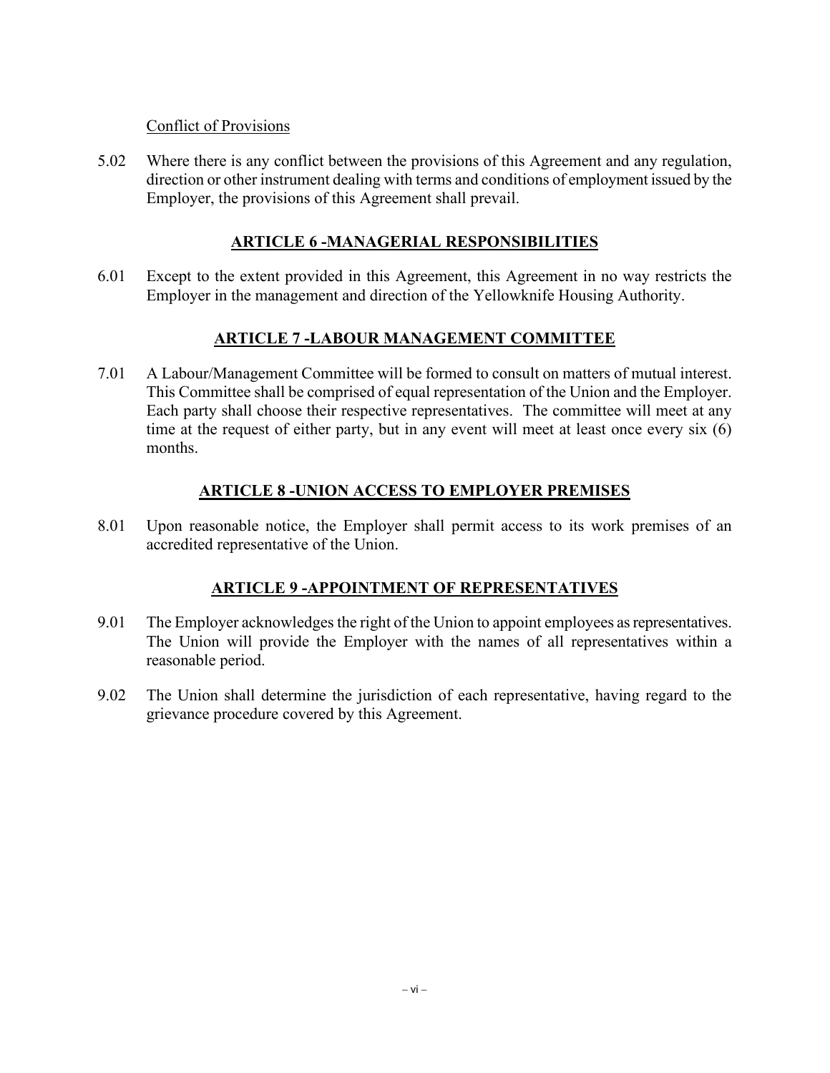#### Conflict of Provisions

5.02 Where there is any conflict between the provisions of this Agreement and any regulation, direction or other instrument dealing with terms and conditions of employment issued by the Employer, the provisions of this Agreement shall prevail.

#### **ARTICLE 6 -MANAGERIAL RESPONSIBILITIES**

6.01 Except to the extent provided in this Agreement, this Agreement in no way restricts the Employer in the management and direction of the Yellowknife Housing Authority.

### **ARTICLE 7 -LABOUR MANAGEMENT COMMITTEE**

7.01 A Labour/Management Committee will be formed to consult on matters of mutual interest. This Committee shall be comprised of equal representation of the Union and the Employer. Each party shall choose their respective representatives. The committee will meet at any time at the request of either party, but in any event will meet at least once every six (6) months.

### **ARTICLE 8 -UNION ACCESS TO EMPLOYER PREMISES**

8.01 Upon reasonable notice, the Employer shall permit access to its work premises of an accredited representative of the Union.

### **ARTICLE 9 -APPOINTMENT OF REPRESENTATIVES**

- 9.01 The Employer acknowledges the right of the Union to appoint employees as representatives. The Union will provide the Employer with the names of all representatives within a reasonable period.
- 9.02 The Union shall determine the jurisdiction of each representative, having regard to the grievance procedure covered by this Agreement.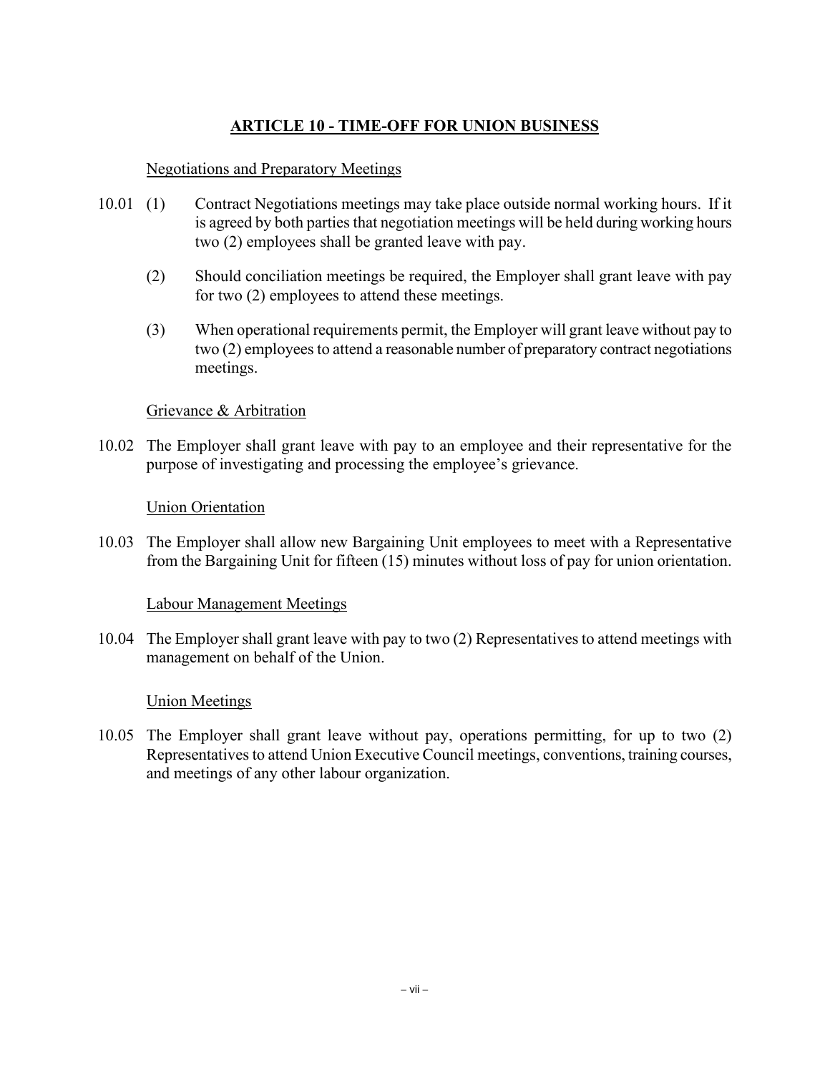# **ARTICLE 10 - TIME-OFF FOR UNION BUSINESS**

#### Negotiations and Preparatory Meetings

- 10.01 (1) Contract Negotiations meetings may take place outside normal working hours. If it is agreed by both parties that negotiation meetings will be held during working hours two (2) employees shall be granted leave with pay.
	- (2) Should conciliation meetings be required, the Employer shall grant leave with pay for two (2) employees to attend these meetings.
	- (3) When operational requirements permit, the Employer will grant leave without pay to two (2) employees to attend a reasonable number of preparatory contract negotiations meetings.

#### Grievance & Arbitration

10.02 The Employer shall grant leave with pay to an employee and their representative for the purpose of investigating and processing the employee's grievance.

#### Union Orientation

10.03 The Employer shall allow new Bargaining Unit employees to meet with a Representative from the Bargaining Unit for fifteen (15) minutes without loss of pay for union orientation.

#### Labour Management Meetings

10.04 The Employer shall grant leave with pay to two (2) Representatives to attend meetings with management on behalf of the Union.

#### Union Meetings

10.05 The Employer shall grant leave without pay, operations permitting, for up to two (2) Representatives to attend Union Executive Council meetings, conventions, training courses, and meetings of any other labour organization.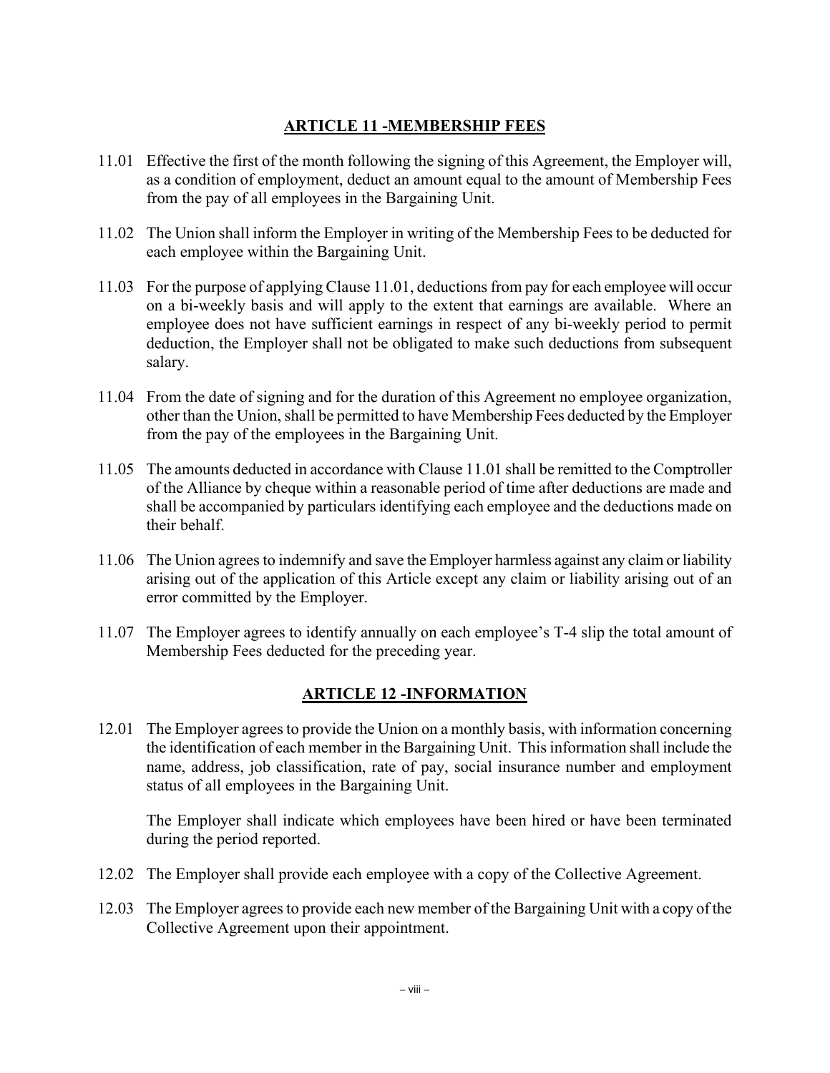# **ARTICLE 11 -MEMBERSHIP FEES**

- 11.01 Effective the first of the month following the signing of this Agreement, the Employer will, as a condition of employment, deduct an amount equal to the amount of Membership Fees from the pay of all employees in the Bargaining Unit.
- 11.02 The Union shall inform the Employer in writing of the Membership Fees to be deducted for each employee within the Bargaining Unit.
- 11.03 For the purpose of applying Clause 11.01, deductions from pay for each employee will occur on a bi-weekly basis and will apply to the extent that earnings are available. Where an employee does not have sufficient earnings in respect of any bi-weekly period to permit deduction, the Employer shall not be obligated to make such deductions from subsequent salary.
- 11.04 From the date of signing and for the duration of this Agreement no employee organization, other than the Union, shall be permitted to have Membership Fees deducted by the Employer from the pay of the employees in the Bargaining Unit.
- 11.05 The amounts deducted in accordance with Clause 11.01 shall be remitted to the Comptroller of the Alliance by cheque within a reasonable period of time after deductions are made and shall be accompanied by particulars identifying each employee and the deductions made on their behalf.
- 11.06 The Union agrees to indemnify and save the Employer harmless against any claim or liability arising out of the application of this Article except any claim or liability arising out of an error committed by the Employer.
- 11.07 The Employer agrees to identify annually on each employee's T-4 slip the total amount of Membership Fees deducted for the preceding year.

# **ARTICLE 12 -INFORMATION**

12.01 The Employer agrees to provide the Union on a monthly basis, with information concerning the identification of each member in the Bargaining Unit. This information shall include the name, address, job classification, rate of pay, social insurance number and employment status of all employees in the Bargaining Unit.

The Employer shall indicate which employees have been hired or have been terminated during the period reported.

- 12.02 The Employer shall provide each employee with a copy of the Collective Agreement.
- 12.03 The Employer agrees to provide each new member of the Bargaining Unit with a copy of the Collective Agreement upon their appointment.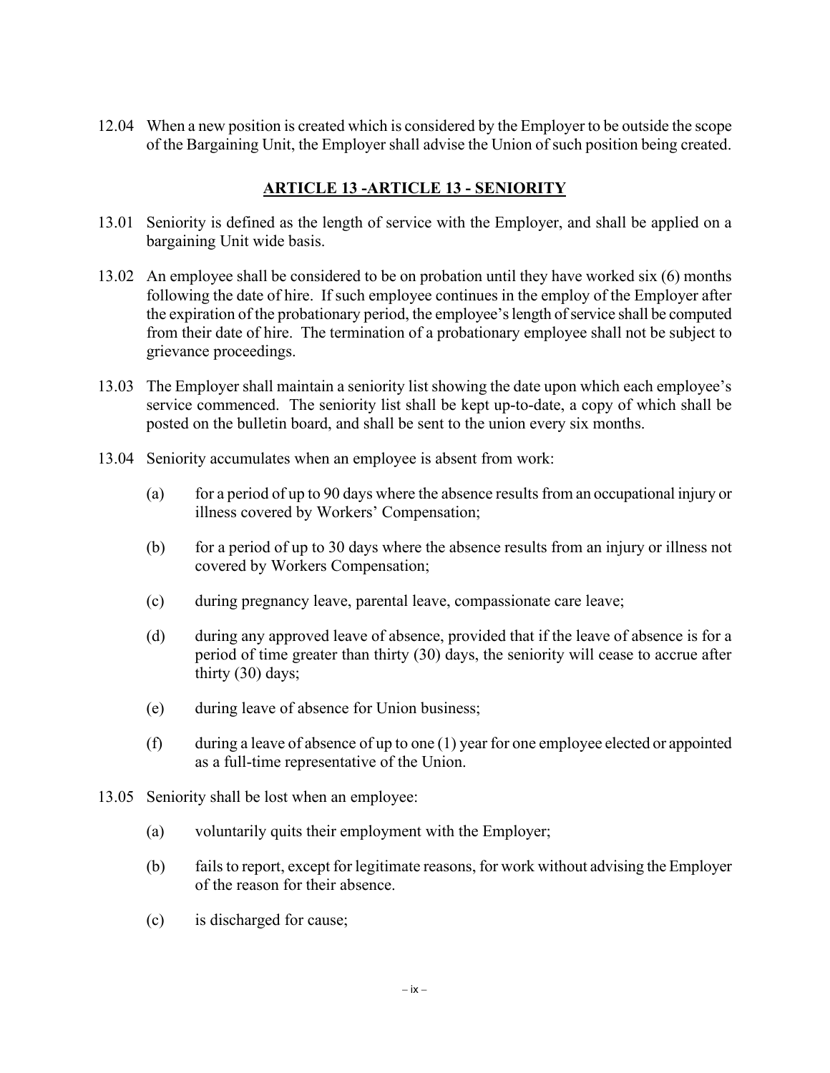12.04 When a new position is created which is considered by the Employer to be outside the scope of the Bargaining Unit, the Employer shall advise the Union of such position being created.

## **ARTICLE 13 -ARTICLE 13 - SENIORITY**

- 13.01 Seniority is defined as the length of service with the Employer, and shall be applied on a bargaining Unit wide basis.
- 13.02 An employee shall be considered to be on probation until they have worked six (6) months following the date of hire. If such employee continues in the employ of the Employer after the expiration of the probationary period, the employee's length of service shall be computed from their date of hire. The termination of a probationary employee shall not be subject to grievance proceedings.
- 13.03 The Employer shall maintain a seniority list showing the date upon which each employee's service commenced. The seniority list shall be kept up-to-date, a copy of which shall be posted on the bulletin board, and shall be sent to the union every six months.
- 13.04 Seniority accumulates when an employee is absent from work:
	- (a) for a period of up to 90 days where the absence results from an occupational injury or illness covered by Workers' Compensation;
	- (b) for a period of up to 30 days where the absence results from an injury or illness not covered by Workers Compensation;
	- (c) during pregnancy leave, parental leave, compassionate care leave;
	- (d) during any approved leave of absence, provided that if the leave of absence is for a period of time greater than thirty (30) days, the seniority will cease to accrue after thirty (30) days;
	- (e) during leave of absence for Union business;
	- (f) during a leave of absence of up to one (1) year for one employee elected or appointed as a full-time representative of the Union.
- 13.05 Seniority shall be lost when an employee:
	- (a) voluntarily quits their employment with the Employer;
	- (b) fails to report, except for legitimate reasons, for work without advising the Employer of the reason for their absence.
	- (c) is discharged for cause;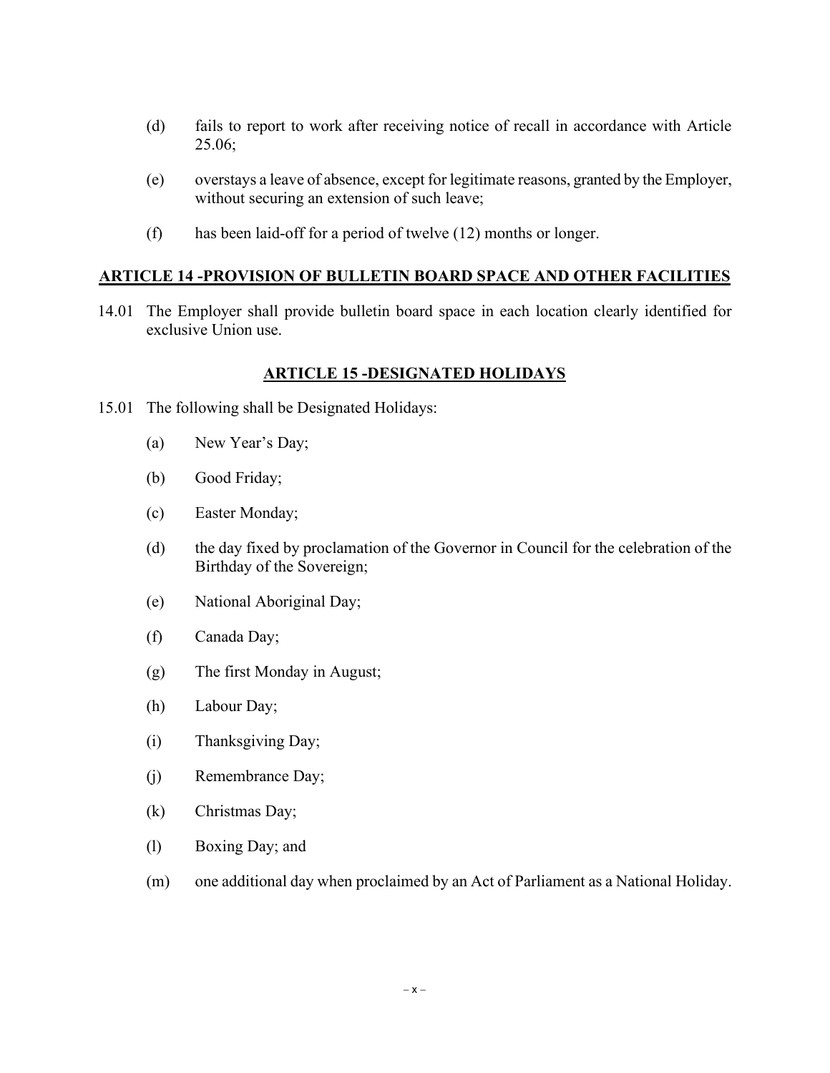- (d) fails to report to work after receiving notice of recall in accordance with Article 25.06;
- (e) overstays a leave of absence, except for legitimate reasons, granted by the Employer, without securing an extension of such leave;
- (f) has been laid-off for a period of twelve (12) months or longer.

#### **ARTICLE 14 -PROVISION OF BULLETIN BOARD SPACE AND OTHER FACILITIES**

14.01 The Employer shall provide bulletin board space in each location clearly identified for exclusive Union use.

#### **ARTICLE 15 -DESIGNATED HOLIDAYS**

- 15.01 The following shall be Designated Holidays:
	- (a) New Year's Day;
	- (b) Good Friday;
	- (c) Easter Monday;
	- (d) the day fixed by proclamation of the Governor in Council for the celebration of the Birthday of the Sovereign;
	- (e) National Aboriginal Day;
	- (f) Canada Day;
	- (g) The first Monday in August;
	- (h) Labour Day;
	- (i) Thanksgiving Day;
	- (j) Remembrance Day;
	- (k) Christmas Day;
	- (l) Boxing Day; and
	- (m) one additional day when proclaimed by an Act of Parliament as a National Holiday.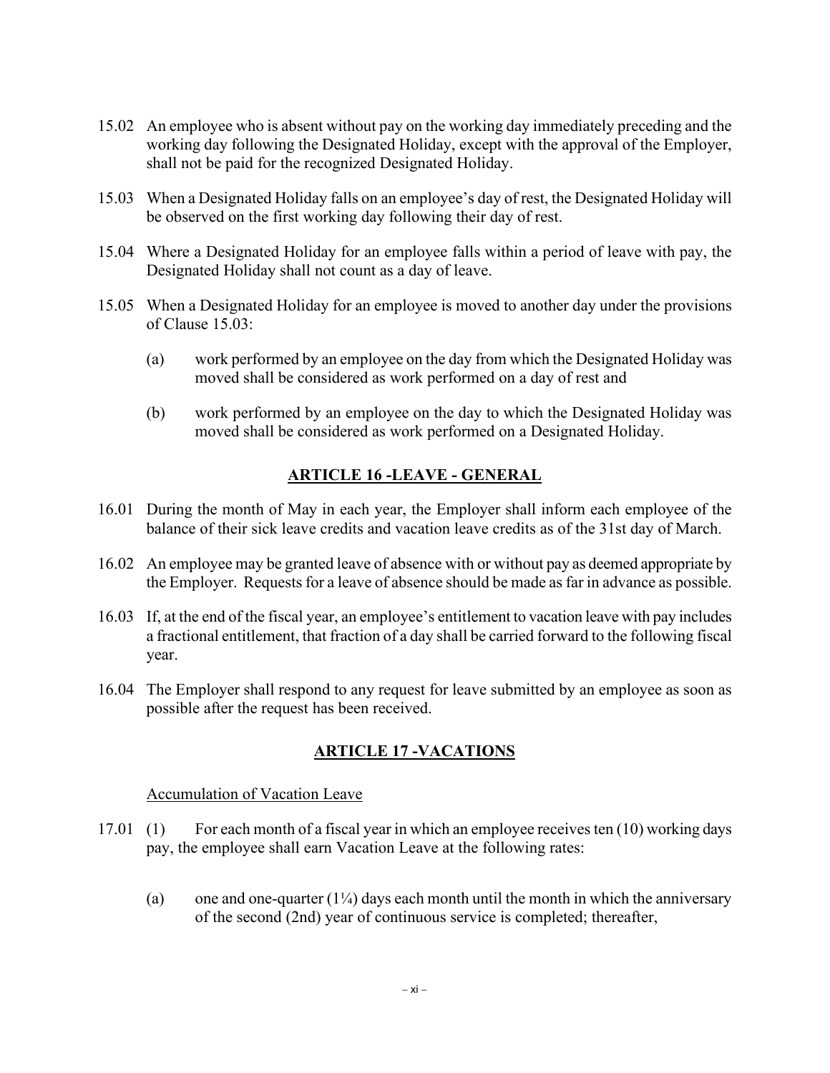- 15.02 An employee who is absent without pay on the working day immediately preceding and the working day following the Designated Holiday, except with the approval of the Employer, shall not be paid for the recognized Designated Holiday.
- 15.03 When a Designated Holiday falls on an employee's day of rest, the Designated Holiday will be observed on the first working day following their day of rest.
- 15.04 Where a Designated Holiday for an employee falls within a period of leave with pay, the Designated Holiday shall not count as a day of leave.
- 15.05 When a Designated Holiday for an employee is moved to another day under the provisions of Clause 15.03:
	- (a) work performed by an employee on the day from which the Designated Holiday was moved shall be considered as work performed on a day of rest and
	- (b) work performed by an employee on the day to which the Designated Holiday was moved shall be considered as work performed on a Designated Holiday.

## **ARTICLE 16 -LEAVE - GENERAL**

- 16.01 During the month of May in each year, the Employer shall inform each employee of the balance of their sick leave credits and vacation leave credits as of the 31st day of March.
- 16.02 An employee may be granted leave of absence with or without pay as deemed appropriate by the Employer. Requests for a leave of absence should be made as far in advance as possible.
- 16.03 If, at the end of the fiscal year, an employee's entitlement to vacation leave with pay includes a fractional entitlement, that fraction of a day shall be carried forward to the following fiscal year.
- 16.04 The Employer shall respond to any request for leave submitted by an employee as soon as possible after the request has been received.

### **ARTICLE 17 -VACATIONS**

Accumulation of Vacation Leave

- 17.01 (1) For each month of a fiscal year in which an employee receives ten (10) working days pay, the employee shall earn Vacation Leave at the following rates:
	- (a) one and one-quarter  $(1/4)$  days each month until the month in which the anniversary of the second (2nd) year of continuous service is completed; thereafter,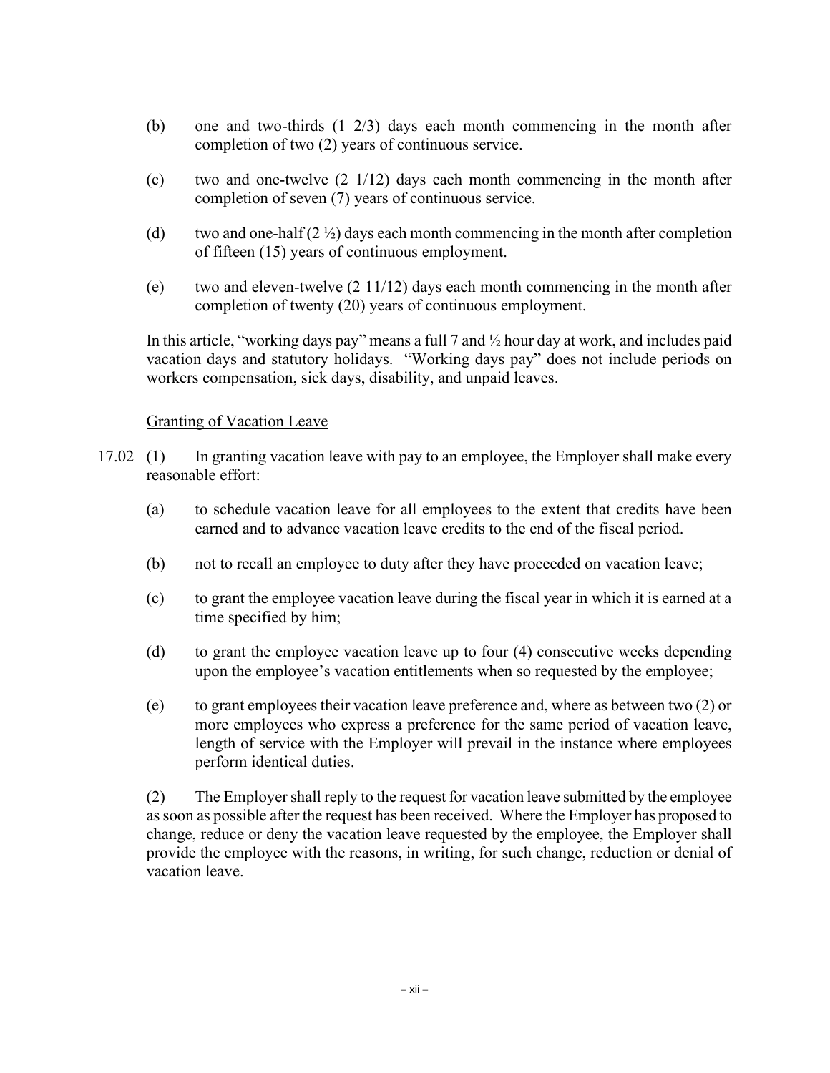- (b) one and two-thirds (1 2/3) days each month commencing in the month after completion of two (2) years of continuous service.
- (c) two and one-twelve (2 1/12) days each month commencing in the month after completion of seven (7) years of continuous service.
- (d) two and one-half  $(2 \frac{1}{2})$  days each month commencing in the month after completion of fifteen (15) years of continuous employment.
- (e) two and eleven-twelve  $(2 \frac{11}{12})$  days each month commencing in the month after completion of twenty (20) years of continuous employment.

In this article, "working days pay" means a full 7 and ½ hour day at work, and includes paid vacation days and statutory holidays. "Working days pay" does not include periods on workers compensation, sick days, disability, and unpaid leaves.

#### Granting of Vacation Leave

- 17.02 (1) In granting vacation leave with pay to an employee, the Employer shall make every reasonable effort:
	- (a) to schedule vacation leave for all employees to the extent that credits have been earned and to advance vacation leave credits to the end of the fiscal period.
	- (b) not to recall an employee to duty after they have proceeded on vacation leave;
	- (c) to grant the employee vacation leave during the fiscal year in which it is earned at a time specified by him;
	- (d) to grant the employee vacation leave up to four (4) consecutive weeks depending upon the employee's vacation entitlements when so requested by the employee;
	- (e) to grant employees their vacation leave preference and, where as between two (2) or more employees who express a preference for the same period of vacation leave, length of service with the Employer will prevail in the instance where employees perform identical duties.

(2) The Employer shall reply to the request for vacation leave submitted by the employee as soon as possible after the request has been received. Where the Employer has proposed to change, reduce or deny the vacation leave requested by the employee, the Employer shall provide the employee with the reasons, in writing, for such change, reduction or denial of vacation leave.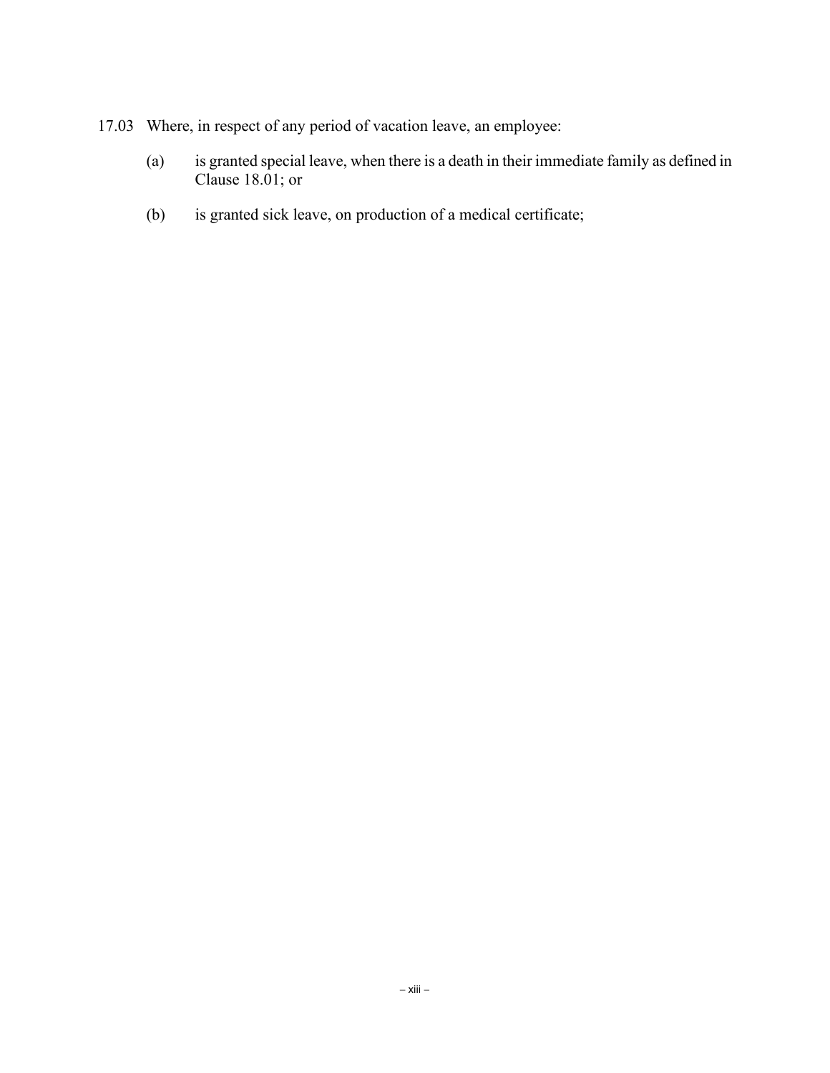- 17.03 Where, in respect of any period of vacation leave, an employee:
	- (a) is granted special leave, when there is a death in their immediate family as defined in Clause 18.01; or
	- (b) is granted sick leave, on production of a medical certificate;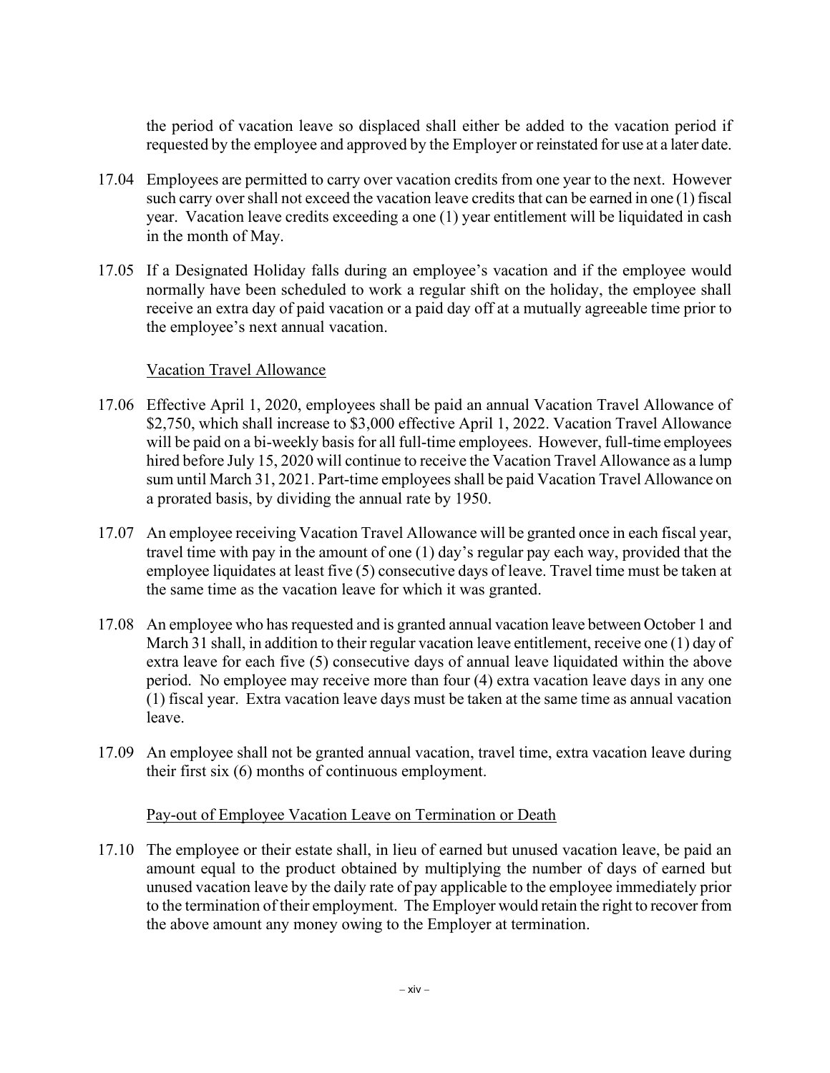the period of vacation leave so displaced shall either be added to the vacation period if requested by the employee and approved by the Employer or reinstated for use at a later date.

- 17.04 Employees are permitted to carry over vacation credits from one year to the next. However such carry over shall not exceed the vacation leave credits that can be earned in one (1) fiscal year. Vacation leave credits exceeding a one (1) year entitlement will be liquidated in cash in the month of May.
- 17.05 If a Designated Holiday falls during an employee's vacation and if the employee would normally have been scheduled to work a regular shift on the holiday, the employee shall receive an extra day of paid vacation or a paid day off at a mutually agreeable time prior to the employee's next annual vacation.

#### Vacation Travel Allowance

- 17.06 Effective April 1, 2020, employees shall be paid an annual Vacation Travel Allowance of \$2,750, which shall increase to \$3,000 effective April 1, 2022. Vacation Travel Allowance will be paid on a bi-weekly basis for all full-time employees. However, full-time employees hired before July 15, 2020 will continue to receive the Vacation Travel Allowance as a lump sum until March 31, 2021. Part-time employees shall be paid Vacation Travel Allowance on a prorated basis, by dividing the annual rate by 1950.
- 17.07 An employee receiving Vacation Travel Allowance will be granted once in each fiscal year, travel time with pay in the amount of one (1) day's regular pay each way, provided that the employee liquidates at least five (5) consecutive days of leave. Travel time must be taken at the same time as the vacation leave for which it was granted.
- 17.08 An employee who has requested and is granted annual vacation leave between October 1 and March 31 shall, in addition to their regular vacation leave entitlement, receive one (1) day of extra leave for each five (5) consecutive days of annual leave liquidated within the above period. No employee may receive more than four (4) extra vacation leave days in any one (1) fiscal year. Extra vacation leave days must be taken at the same time as annual vacation leave.
- 17.09 An employee shall not be granted annual vacation, travel time, extra vacation leave during their first six (6) months of continuous employment.

#### Pay-out of Employee Vacation Leave on Termination or Death

17.10 The employee or their estate shall, in lieu of earned but unused vacation leave, be paid an amount equal to the product obtained by multiplying the number of days of earned but unused vacation leave by the daily rate of pay applicable to the employee immediately prior to the termination of their employment. The Employer would retain the right to recover from the above amount any money owing to the Employer at termination.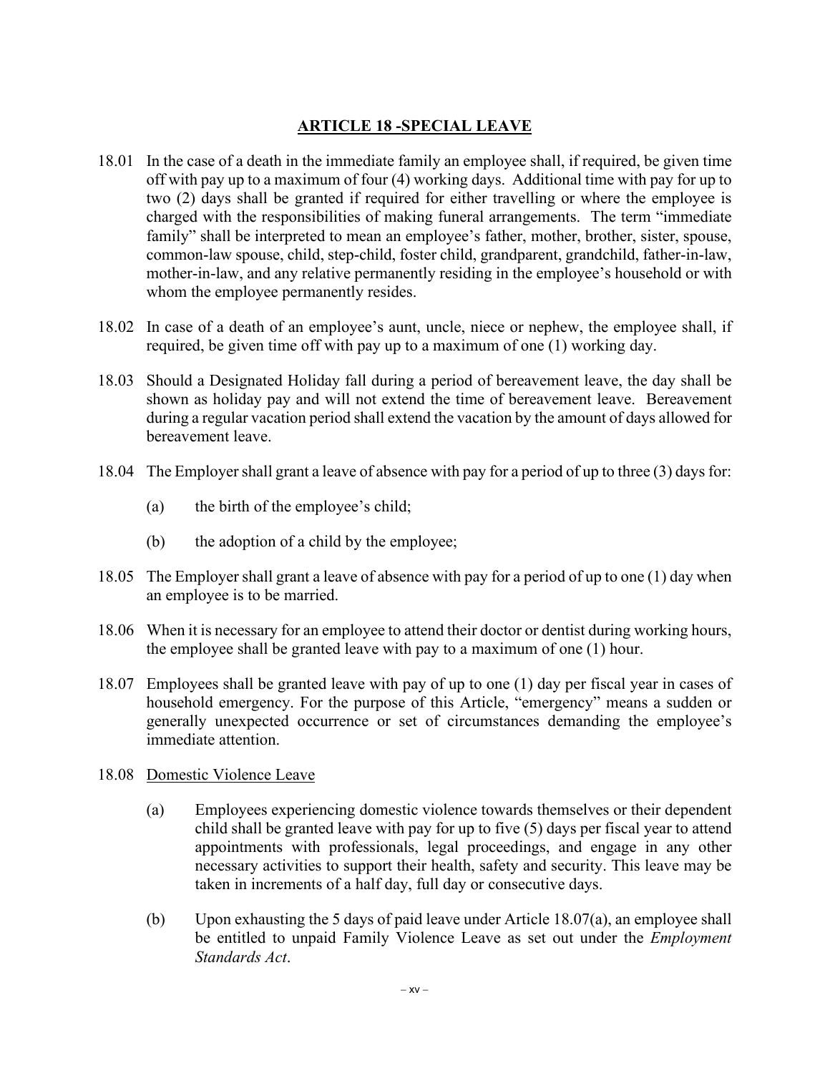## **ARTICLE 18 -SPECIAL LEAVE**

- 18.01 In the case of a death in the immediate family an employee shall, if required, be given time off with pay up to a maximum of four (4) working days. Additional time with pay for up to two (2) days shall be granted if required for either travelling or where the employee is charged with the responsibilities of making funeral arrangements. The term "immediate family" shall be interpreted to mean an employee's father, mother, brother, sister, spouse, common-law spouse, child, step-child, foster child, grandparent, grandchild, father-in-law, mother-in-law, and any relative permanently residing in the employee's household or with whom the employee permanently resides.
- 18.02 In case of a death of an employee's aunt, uncle, niece or nephew, the employee shall, if required, be given time off with pay up to a maximum of one (1) working day.
- 18.03 Should a Designated Holiday fall during a period of bereavement leave, the day shall be shown as holiday pay and will not extend the time of bereavement leave. Bereavement during a regular vacation period shall extend the vacation by the amount of days allowed for bereavement leave.
- 18.04 The Employer shall grant a leave of absence with pay for a period of up to three (3) daysfor:
	- (a) the birth of the employee's child;
	- (b) the adoption of a child by the employee;
- 18.05 The Employer shall grant a leave of absence with pay for a period of up to one (1) day when an employee is to be married.
- 18.06 When it is necessary for an employee to attend their doctor or dentist during working hours, the employee shall be granted leave with pay to a maximum of one (1) hour.
- 18.07 Employees shall be granted leave with pay of up to one (1) day per fiscal year in cases of household emergency. For the purpose of this Article, "emergency" means a sudden or generally unexpected occurrence or set of circumstances demanding the employee's immediate attention.
- 18.08 Domestic Violence Leave
	- (a) Employees experiencing domestic violence towards themselves or their dependent child shall be granted leave with pay for up to five (5) days per fiscal year to attend appointments with professionals, legal proceedings, and engage in any other necessary activities to support their health, safety and security. This leave may be taken in increments of a half day, full day or consecutive days.
	- (b) Upon exhausting the 5 days of paid leave under Article 18.07(a), an employee shall be entitled to unpaid Family Violence Leave as set out under the *Employment Standards Act*.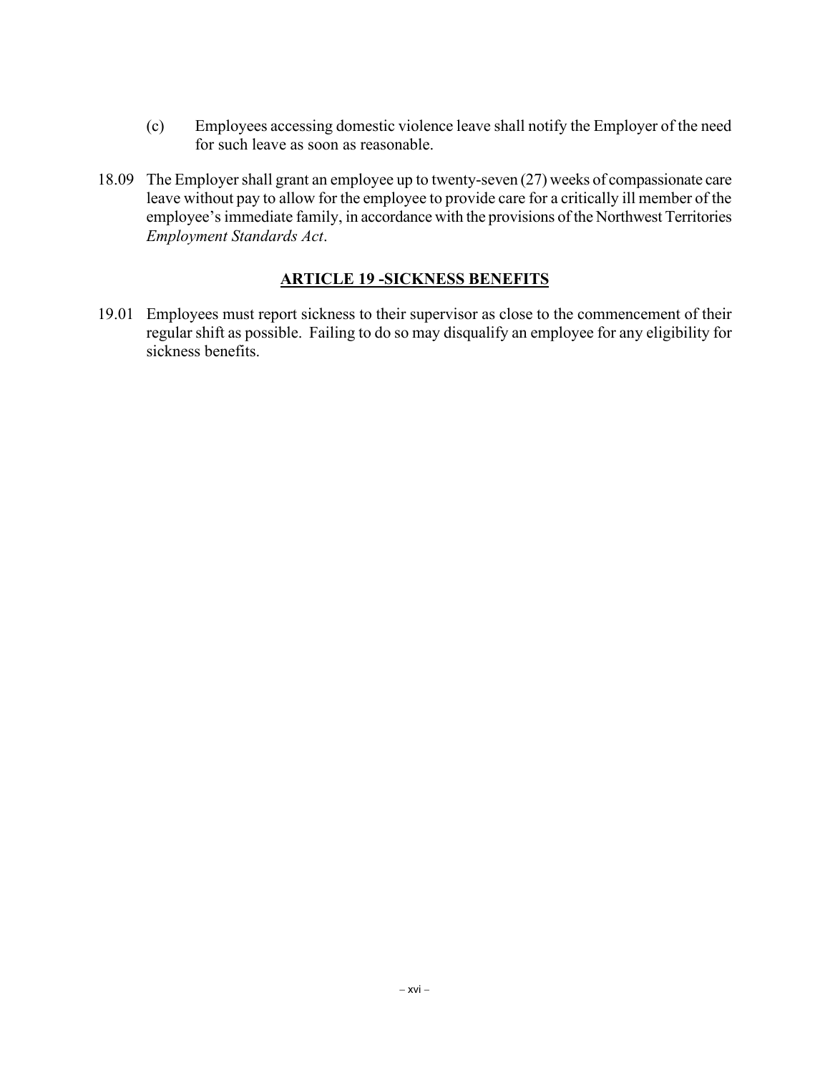- (c) Employees accessing domestic violence leave shall notify the Employer of the need for such leave as soon as reasonable.
- 18.09 The Employer shall grant an employee up to twenty-seven (27) weeks of compassionate care leave without pay to allow for the employee to provide care for a critically ill member of the employee's immediate family, in accordance with the provisions of the Northwest Territories *Employment Standards Act*.

### **ARTICLE 19 -SICKNESS BENEFITS**

19.01 Employees must report sickness to their supervisor as close to the commencement of their regular shift as possible. Failing to do so may disqualify an employee for any eligibility for sickness benefits.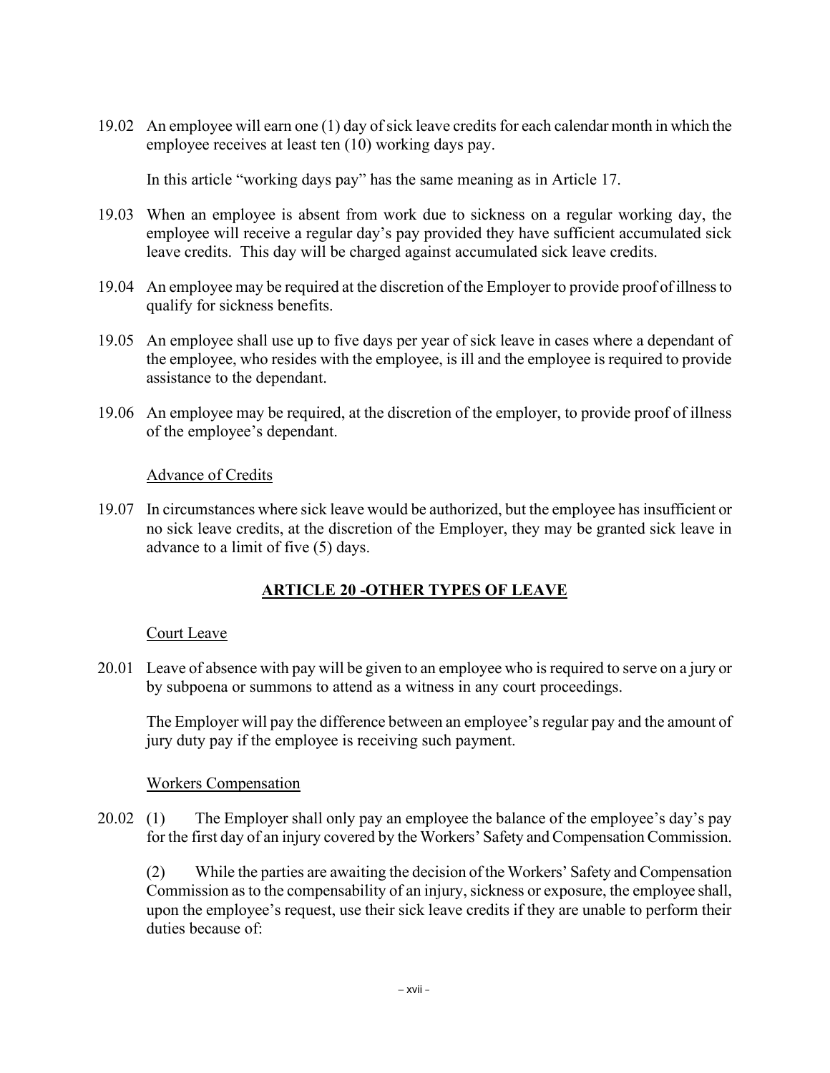19.02 An employee will earn one (1) day of sick leave credits for each calendar month in which the employee receives at least ten (10) working days pay.

In this article "working days pay" has the same meaning as in Article 17.

- 19.03 When an employee is absent from work due to sickness on a regular working day, the employee will receive a regular day's pay provided they have sufficient accumulated sick leave credits. This day will be charged against accumulated sick leave credits.
- 19.04 An employee may be required at the discretion of the Employer to provide proof of illness to qualify for sickness benefits.
- 19.05 An employee shall use up to five days per year of sick leave in cases where a dependant of the employee, who resides with the employee, is ill and the employee is required to provide assistance to the dependant.
- 19.06 An employee may be required, at the discretion of the employer, to provide proof of illness of the employee's dependant.

#### Advance of Credits

19.07 In circumstances where sick leave would be authorized, but the employee has insufficient or no sick leave credits, at the discretion of the Employer, they may be granted sick leave in advance to a limit of five (5) days.

# **ARTICLE 20 -OTHER TYPES OF LEAVE**

#### Court Leave

20.01 Leave of absence with pay will be given to an employee who is required to serve on a jury or by subpoena or summons to attend as a witness in any court proceedings.

The Employer will pay the difference between an employee's regular pay and the amount of jury duty pay if the employee is receiving such payment.

#### Workers Compensation

20.02 (1) The Employer shall only pay an employee the balance of the employee's day's pay for the first day of an injury covered by the Workers' Safety and Compensation Commission.

(2) While the parties are awaiting the decision of the Workers' Safety and Compensation Commission as to the compensability of an injury, sickness or exposure, the employee shall, upon the employee's request, use their sick leave credits if they are unable to perform their duties because of: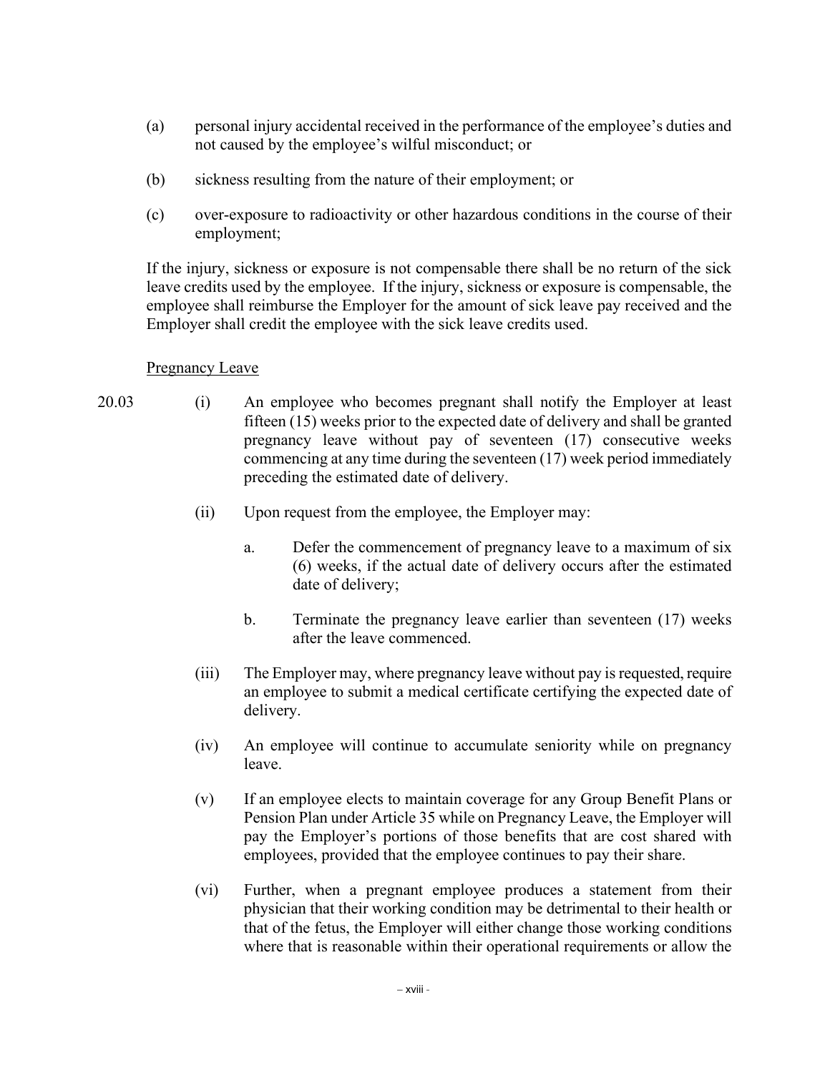- (a) personal injury accidental received in the performance of the employee's duties and not caused by the employee's wilful misconduct; or
- (b) sickness resulting from the nature of their employment; or
- (c) over-exposure to radioactivity or other hazardous conditions in the course of their employment;

If the injury, sickness or exposure is not compensable there shall be no return of the sick leave credits used by the employee. If the injury, sickness or exposure is compensable, the employee shall reimburse the Employer for the amount of sick leave pay received and the Employer shall credit the employee with the sick leave credits used.

#### Pregnancy Leave

- 
- 20.03 (i) An employee who becomes pregnant shall notify the Employer at least fifteen (15) weeks prior to the expected date of delivery and shall be granted pregnancy leave without pay of seventeen (17) consecutive weeks commencing at any time during the seventeen (17) week period immediately preceding the estimated date of delivery.
	- (ii) Upon request from the employee, the Employer may:
		- a. Defer the commencement of pregnancy leave to a maximum of six (6) weeks, if the actual date of delivery occurs after the estimated date of delivery;
		- b. Terminate the pregnancy leave earlier than seventeen (17) weeks after the leave commenced.
	- (iii) The Employer may, where pregnancy leave without pay is requested, require an employee to submit a medical certificate certifying the expected date of delivery.
	- (iv) An employee will continue to accumulate seniority while on pregnancy leave.
	- (v) If an employee elects to maintain coverage for any Group Benefit Plans or Pension Plan under Article 35 while on Pregnancy Leave, the Employer will pay the Employer's portions of those benefits that are cost shared with employees, provided that the employee continues to pay their share.
	- (vi) Further, when a pregnant employee produces a statement from their physician that their working condition may be detrimental to their health or that of the fetus, the Employer will either change those working conditions where that is reasonable within their operational requirements or allow the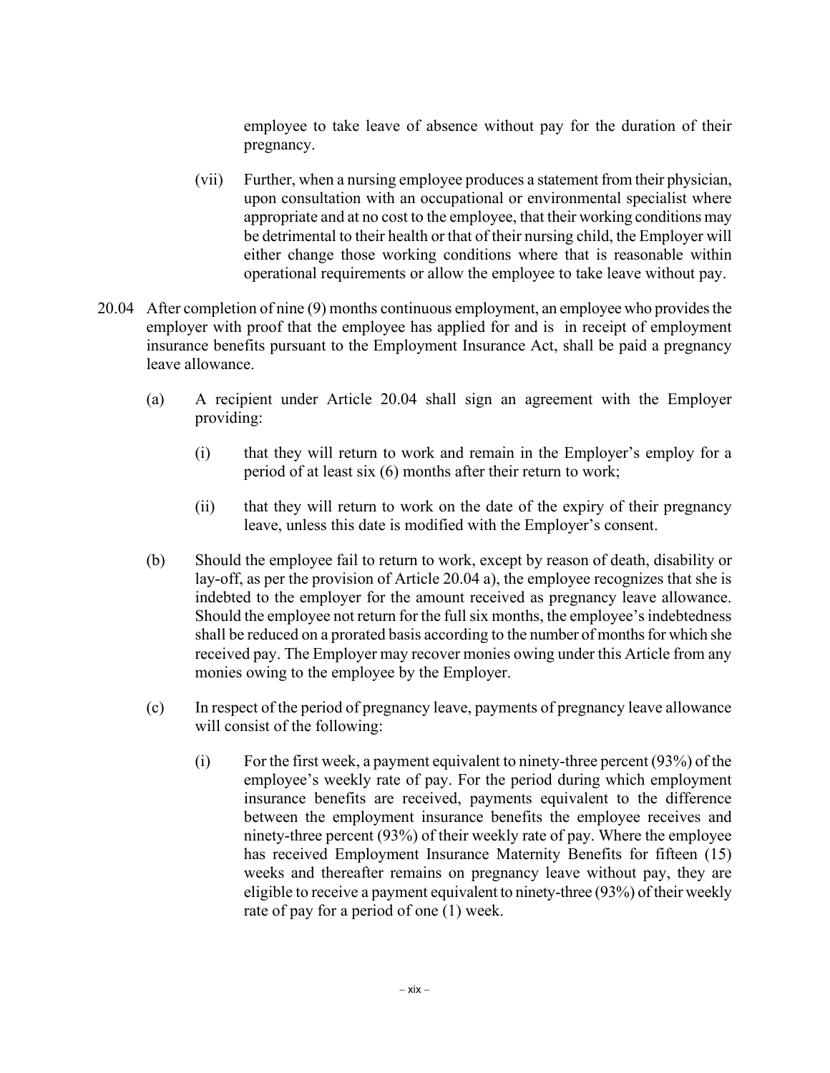employee to take leave of absence without pay for the duration of their pregnancy.

- (vii) Further, when a nursing employee produces a statement from their physician, upon consultation with an occupational or environmental specialist where appropriate and at no cost to the employee, that their working conditions may be detrimental to their health or that of their nursing child, the Employer will either change those working conditions where that is reasonable within operational requirements or allow the employee to take leave without pay.
- 20.04 After completion of nine (9) months continuous employment, an employee who provides the employer with proof that the employee has applied for and is in receipt of employment insurance benefits pursuant to the Employment Insurance Act, shall be paid a pregnancy leave allowance.
	- (a) A recipient under Article 20.04 shall sign an agreement with the Employer providing:
		- (i) that they will return to work and remain in the Employer's employ for a period of at least six (6) months after their return to work;
		- (ii) that they will return to work on the date of the expiry of their pregnancy leave, unless this date is modified with the Employer's consent.
	- (b) Should the employee fail to return to work, except by reason of death, disability or lay-off, as per the provision of Article 20.04 a), the employee recognizes that she is indebted to the employer for the amount received as pregnancy leave allowance. Should the employee not return for the full six months, the employee's indebtedness shall be reduced on a prorated basis according to the number of months for which she received pay. The Employer may recover monies owing under this Article from any monies owing to the employee by the Employer.
	- (c) In respect of the period of pregnancy leave, payments of pregnancy leave allowance will consist of the following:
		- $(i)$  For the first week, a payment equivalent to ninety-three percent (93%) of the employee's weekly rate of pay. For the period during which employment insurance benefits are received, payments equivalent to the difference between the employment insurance benefits the employee receives and ninety-three percent (93%) of their weekly rate of pay. Where the employee has received Employment Insurance Maternity Benefits for fifteen (15) weeks and thereafter remains on pregnancy leave without pay, they are eligible to receive a payment equivalent to ninety-three (93%) of their weekly rate of pay for a period of one (1) week.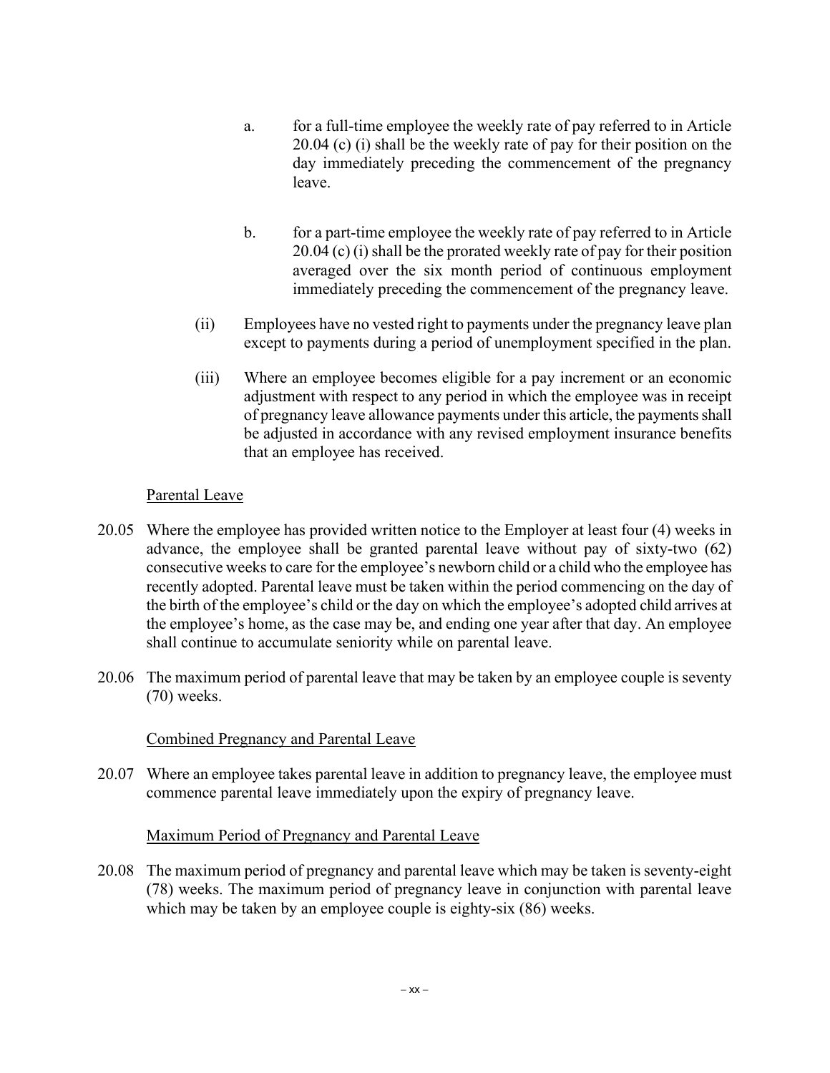- a. for a full-time employee the weekly rate of pay referred to in Article 20.04 (c) (i) shall be the weekly rate of pay for their position on the day immediately preceding the commencement of the pregnancy leave.
- b. for a part-time employee the weekly rate of pay referred to in Article 20.04 (c) (i) shall be the prorated weekly rate of pay for their position averaged over the six month period of continuous employment immediately preceding the commencement of the pregnancy leave.
- (ii) Employees have no vested right to payments under the pregnancy leave plan except to payments during a period of unemployment specified in the plan.
- (iii) Where an employee becomes eligible for a pay increment or an economic adjustment with respect to any period in which the employee was in receipt of pregnancy leave allowance payments under this article, the payments shall be adjusted in accordance with any revised employment insurance benefits that an employee has received.

### Parental Leave

- 20.05 Where the employee has provided written notice to the Employer at least four (4) weeks in advance, the employee shall be granted parental leave without pay of sixty-two (62) consecutive weeks to care for the employee's newborn child or a child who the employee has recently adopted. Parental leave must be taken within the period commencing on the day of the birth of the employee's child or the day on which the employee's adopted child arrives at the employee's home, as the case may be, and ending one year after that day. An employee shall continue to accumulate seniority while on parental leave.
- 20.06 The maximum period of parental leave that may be taken by an employee couple is seventy (70) weeks.

### Combined Pregnancy and Parental Leave

20.07 Where an employee takes parental leave in addition to pregnancy leave, the employee must commence parental leave immediately upon the expiry of pregnancy leave.

### Maximum Period of Pregnancy and Parental Leave

20.08 The maximum period of pregnancy and parental leave which may be taken is seventy-eight (78) weeks. The maximum period of pregnancy leave in conjunction with parental leave which may be taken by an employee couple is eighty-six (86) weeks.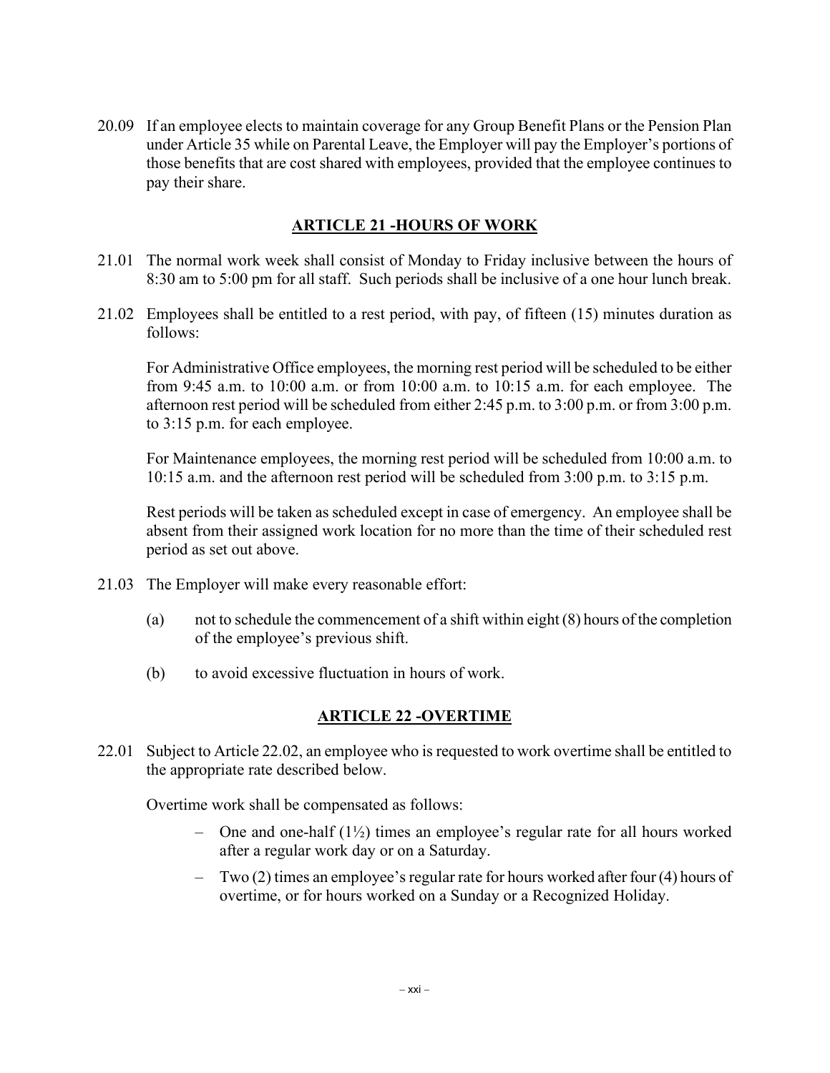20.09 If an employee elects to maintain coverage for any Group Benefit Plans or the Pension Plan under Article 35 while on Parental Leave, the Employer will pay the Employer's portions of those benefits that are cost shared with employees, provided that the employee continues to pay their share.

#### **ARTICLE 21 -HOURS OF WORK**

- 21.01 The normal work week shall consist of Monday to Friday inclusive between the hours of 8:30 am to 5:00 pm for all staff. Such periods shall be inclusive of a one hour lunch break.
- 21.02 Employees shall be entitled to a rest period, with pay, of fifteen (15) minutes duration as follows:

For Administrative Office employees, the morning rest period will be scheduled to be either from 9:45 a.m. to 10:00 a.m. or from 10:00 a.m. to 10:15 a.m. for each employee. The afternoon rest period will be scheduled from either 2:45 p.m. to 3:00 p.m. or from 3:00 p.m. to 3:15 p.m. for each employee.

For Maintenance employees, the morning rest period will be scheduled from 10:00 a.m. to 10:15 a.m. and the afternoon rest period will be scheduled from 3:00 p.m. to 3:15 p.m.

Rest periods will be taken as scheduled except in case of emergency. An employee shall be absent from their assigned work location for no more than the time of their scheduled rest period as set out above.

- 21.03 The Employer will make every reasonable effort:
	- (a) not to schedule the commencement of a shift within eight (8) hours of the completion of the employee's previous shift.
	- (b) to avoid excessive fluctuation in hours of work.

### **ARTICLE 22 -OVERTIME**

22.01 Subject to Article 22.02, an employee who is requested to work overtime shall be entitled to the appropriate rate described below.

Overtime work shall be compensated as follows:

- One and one-half (1½) times an employee's regular rate for all hours worked after a regular work day or on a Saturday.
- Two (2) times an employee's regular rate for hours worked after four (4) hours of overtime, or for hours worked on a Sunday or a Recognized Holiday.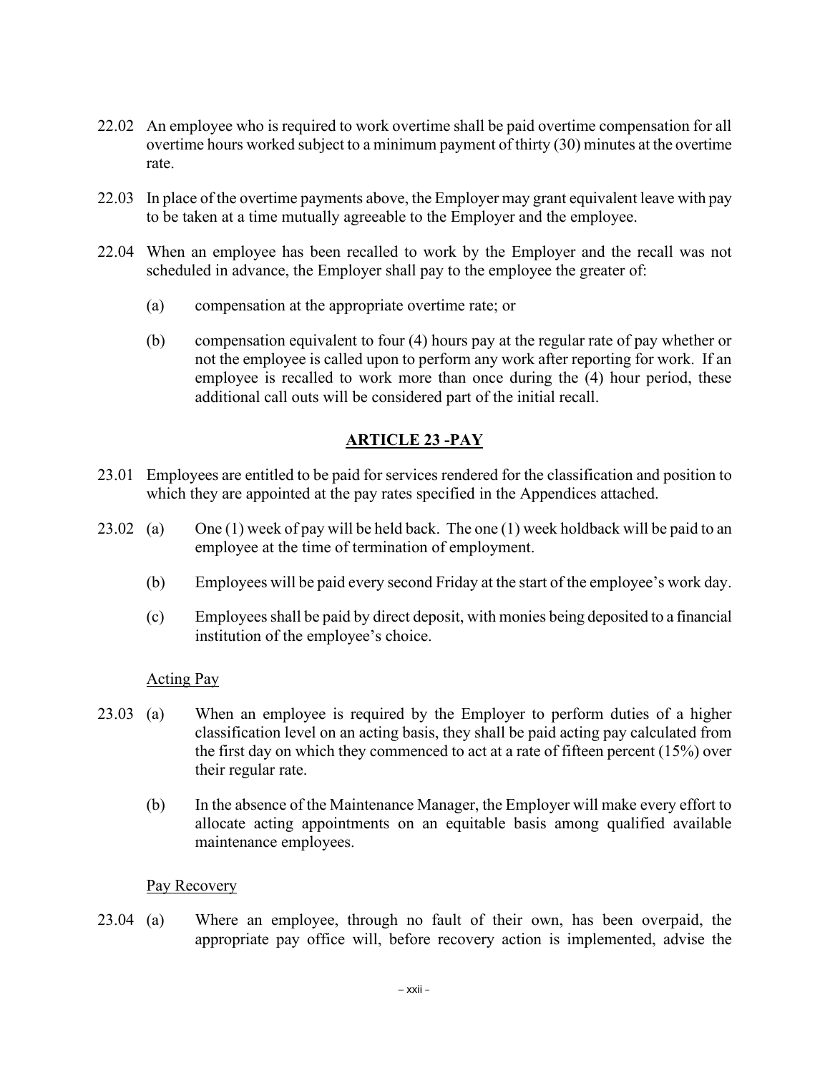- 22.02 An employee who is required to work overtime shall be paid overtime compensation for all overtime hours worked subject to a minimum payment of thirty (30) minutes at the overtime rate.
- 22.03 In place of the overtime payments above, the Employer may grant equivalent leave with pay to be taken at a time mutually agreeable to the Employer and the employee.
- 22.04 When an employee has been recalled to work by the Employer and the recall was not scheduled in advance, the Employer shall pay to the employee the greater of:
	- (a) compensation at the appropriate overtime rate; or
	- (b) compensation equivalent to four (4) hours pay at the regular rate of pay whether or not the employee is called upon to perform any work after reporting for work. If an employee is recalled to work more than once during the (4) hour period, these additional call outs will be considered part of the initial recall.

## **ARTICLE 23 -PAY**

- 23.01 Employees are entitled to be paid for services rendered for the classification and position to which they are appointed at the pay rates specified in the Appendices attached.
- 23.02 (a) One (1) week of pay will be held back. The one (1) week holdback will be paid to an employee at the time of termination of employment.
	- (b) Employees will be paid every second Friday at the start of the employee's work day.
	- (c) Employees shall be paid by direct deposit, with monies being deposited to a financial institution of the employee's choice.

#### Acting Pay

- 23.03 (a) When an employee is required by the Employer to perform duties of a higher classification level on an acting basis, they shall be paid acting pay calculated from the first day on which they commenced to act at a rate of fifteen percent (15%) over their regular rate.
	- (b) In the absence of the Maintenance Manager, the Employer will make every effort to allocate acting appointments on an equitable basis among qualified available maintenance employees.

#### Pay Recovery

23.04 (a) Where an employee, through no fault of their own, has been overpaid, the appropriate pay office will, before recovery action is implemented, advise the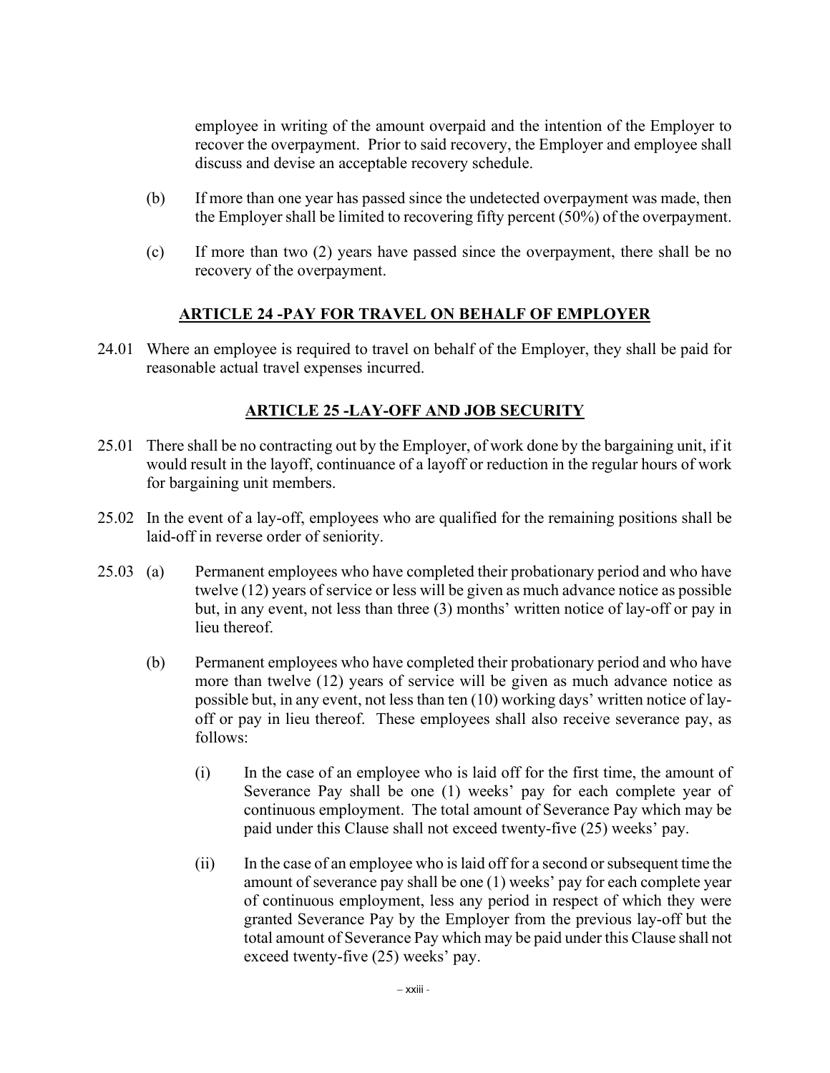employee in writing of the amount overpaid and the intention of the Employer to recover the overpayment. Prior to said recovery, the Employer and employee shall discuss and devise an acceptable recovery schedule.

- (b) If more than one year has passed since the undetected overpayment was made, then the Employer shall be limited to recovering fifty percent (50%) of the overpayment.
- (c) If more than two (2) years have passed since the overpayment, there shall be no recovery of the overpayment.

### **ARTICLE 24 -PAY FOR TRAVEL ON BEHALF OF EMPLOYER**

24.01 Where an employee is required to travel on behalf of the Employer, they shall be paid for reasonable actual travel expenses incurred.

# **ARTICLE 25 -LAY-OFF AND JOB SECURITY**

- 25.01 There shall be no contracting out by the Employer, of work done by the bargaining unit, if it would result in the layoff, continuance of a layoff or reduction in the regular hours of work for bargaining unit members.
- 25.02 In the event of a lay-off, employees who are qualified for the remaining positions shall be laid-off in reverse order of seniority.
- 25.03 (a) Permanent employees who have completed their probationary period and who have twelve (12) years of service or less will be given as much advance notice as possible but, in any event, not less than three (3) months' written notice of lay-off or pay in lieu thereof.
	- (b) Permanent employees who have completed their probationary period and who have more than twelve (12) years of service will be given as much advance notice as possible but, in any event, not less than ten (10) working days' written notice of layoff or pay in lieu thereof. These employees shall also receive severance pay, as follows:
		- (i) In the case of an employee who is laid off for the first time, the amount of Severance Pay shall be one (1) weeks' pay for each complete year of continuous employment. The total amount of Severance Pay which may be paid under this Clause shall not exceed twenty-five (25) weeks' pay.
		- (ii) In the case of an employee who is laid off for a second or subsequent time the amount of severance pay shall be one (1) weeks' pay for each complete year of continuous employment, less any period in respect of which they were granted Severance Pay by the Employer from the previous lay-off but the total amount of Severance Pay which may be paid under this Clause shall not exceed twenty-five (25) weeks' pay.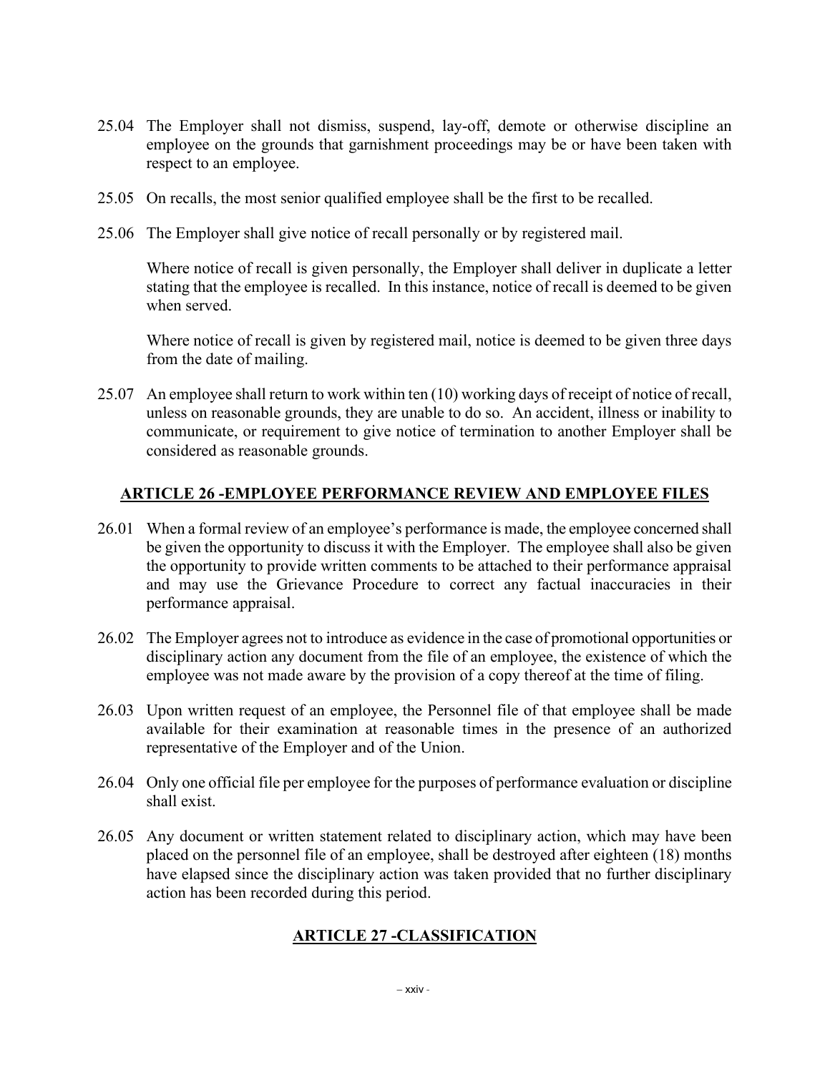- 25.04 The Employer shall not dismiss, suspend, lay-off, demote or otherwise discipline an employee on the grounds that garnishment proceedings may be or have been taken with respect to an employee.
- 25.05 On recalls, the most senior qualified employee shall be the first to be recalled.
- 25.06 The Employer shall give notice of recall personally or by registered mail.

Where notice of recall is given personally, the Employer shall deliver in duplicate a letter stating that the employee is recalled. In this instance, notice of recall is deemed to be given when served.

Where notice of recall is given by registered mail, notice is deemed to be given three days from the date of mailing.

25.07 An employee shall return to work within ten (10) working days of receipt of notice of recall, unless on reasonable grounds, they are unable to do so. An accident, illness or inability to communicate, or requirement to give notice of termination to another Employer shall be considered as reasonable grounds.

#### **ARTICLE 26 -EMPLOYEE PERFORMANCE REVIEW AND EMPLOYEE FILES**

- 26.01 When a formal review of an employee's performance is made, the employee concerned shall be given the opportunity to discuss it with the Employer. The employee shall also be given the opportunity to provide written comments to be attached to their performance appraisal and may use the Grievance Procedure to correct any factual inaccuracies in their performance appraisal.
- 26.02 The Employer agrees not to introduce as evidence in the case of promotional opportunities or disciplinary action any document from the file of an employee, the existence of which the employee was not made aware by the provision of a copy thereof at the time of filing.
- 26.03 Upon written request of an employee, the Personnel file of that employee shall be made available for their examination at reasonable times in the presence of an authorized representative of the Employer and of the Union.
- 26.04 Only one official file per employee for the purposes of performance evaluation or discipline shall exist.
- 26.05 Any document or written statement related to disciplinary action, which may have been placed on the personnel file of an employee, shall be destroyed after eighteen (18) months have elapsed since the disciplinary action was taken provided that no further disciplinary action has been recorded during this period.

# **ARTICLE 27 -CLASSIFICATION**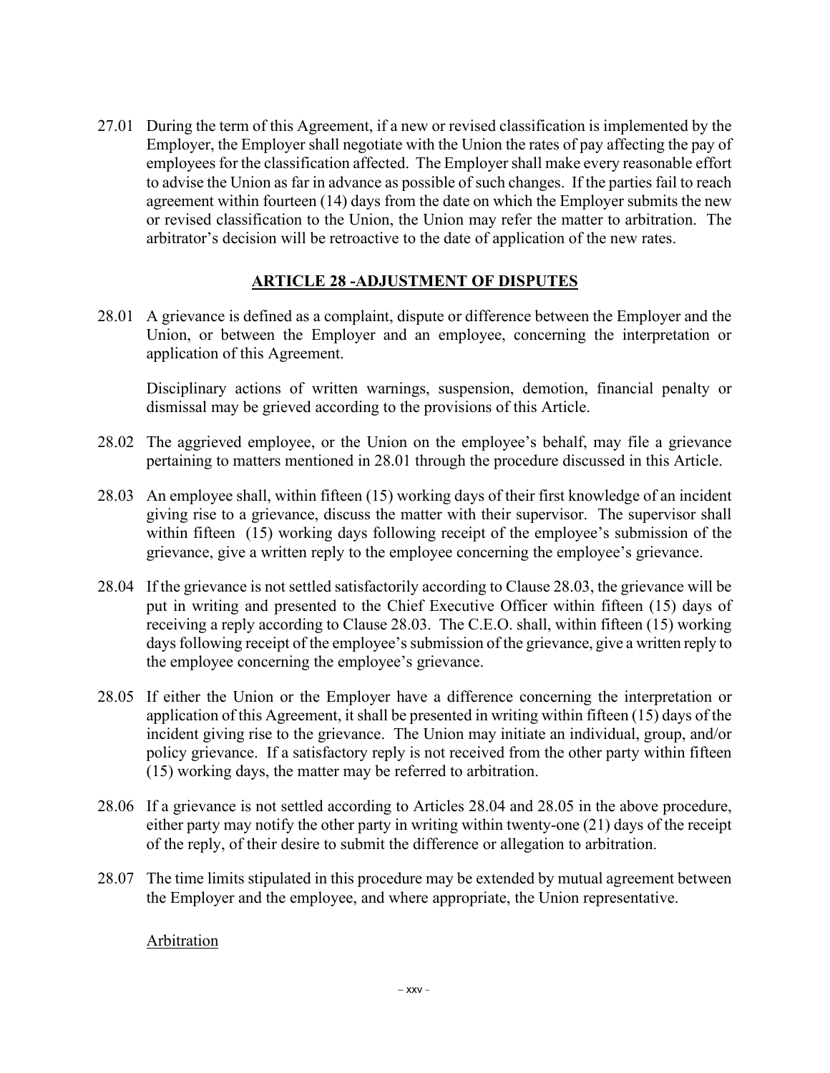27.01 During the term of this Agreement, if a new or revised classification is implemented by the Employer, the Employer shall negotiate with the Union the rates of pay affecting the pay of employees for the classification affected. The Employer shall make every reasonable effort to advise the Union as far in advance as possible of such changes. If the parties fail to reach agreement within fourteen (14) days from the date on which the Employer submits the new or revised classification to the Union, the Union may refer the matter to arbitration. The arbitrator's decision will be retroactive to the date of application of the new rates.

## **ARTICLE 28 -ADJUSTMENT OF DISPUTES**

28.01 A grievance is defined as a complaint, dispute or difference between the Employer and the Union, or between the Employer and an employee, concerning the interpretation or application of this Agreement.

Disciplinary actions of written warnings, suspension, demotion, financial penalty or dismissal may be grieved according to the provisions of this Article.

- 28.02 The aggrieved employee, or the Union on the employee's behalf, may file a grievance pertaining to matters mentioned in 28.01 through the procedure discussed in this Article.
- 28.03 An employee shall, within fifteen (15) working days of their first knowledge of an incident giving rise to a grievance, discuss the matter with their supervisor. The supervisor shall within fifteen (15) working days following receipt of the employee's submission of the grievance, give a written reply to the employee concerning the employee's grievance.
- 28.04 If the grievance is not settled satisfactorily according to Clause 28.03, the grievance will be put in writing and presented to the Chief Executive Officer within fifteen (15) days of receiving a reply according to Clause 28.03. The C.E.O. shall, within fifteen (15) working days following receipt of the employee's submission of the grievance, give a written reply to the employee concerning the employee's grievance.
- 28.05 If either the Union or the Employer have a difference concerning the interpretation or application of this Agreement, it shall be presented in writing within fifteen (15) days of the incident giving rise to the grievance. The Union may initiate an individual, group, and/or policy grievance. If a satisfactory reply is not received from the other party within fifteen (15) working days, the matter may be referred to arbitration.
- 28.06 If a grievance is not settled according to Articles 28.04 and 28.05 in the above procedure, either party may notify the other party in writing within twenty-one (21) days of the receipt of the reply, of their desire to submit the difference or allegation to arbitration.
- 28.07 The time limits stipulated in this procedure may be extended by mutual agreement between the Employer and the employee, and where appropriate, the Union representative.

Arbitration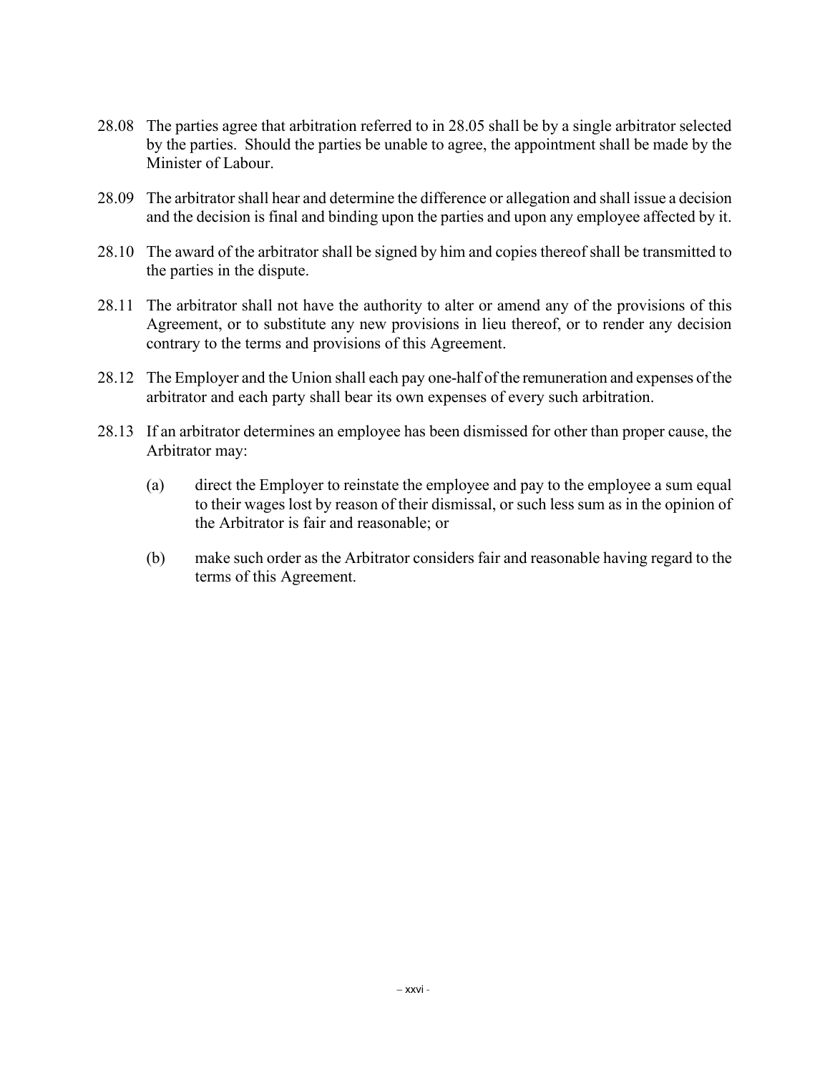- 28.08 The parties agree that arbitration referred to in 28.05 shall be by a single arbitrator selected by the parties. Should the parties be unable to agree, the appointment shall be made by the Minister of Labour.
- 28.09 The arbitrator shall hear and determine the difference or allegation and shall issue a decision and the decision is final and binding upon the parties and upon any employee affected by it.
- 28.10 The award of the arbitrator shall be signed by him and copies thereof shall be transmitted to the parties in the dispute.
- 28.11 The arbitrator shall not have the authority to alter or amend any of the provisions of this Agreement, or to substitute any new provisions in lieu thereof, or to render any decision contrary to the terms and provisions of this Agreement.
- 28.12 The Employer and the Union shall each pay one-half of the remuneration and expenses of the arbitrator and each party shall bear its own expenses of every such arbitration.
- 28.13 If an arbitrator determines an employee has been dismissed for other than proper cause, the Arbitrator may:
	- (a) direct the Employer to reinstate the employee and pay to the employee a sum equal to their wages lost by reason of their dismissal, or such less sum as in the opinion of the Arbitrator is fair and reasonable; or
	- (b) make such order as the Arbitrator considers fair and reasonable having regard to the terms of this Agreement.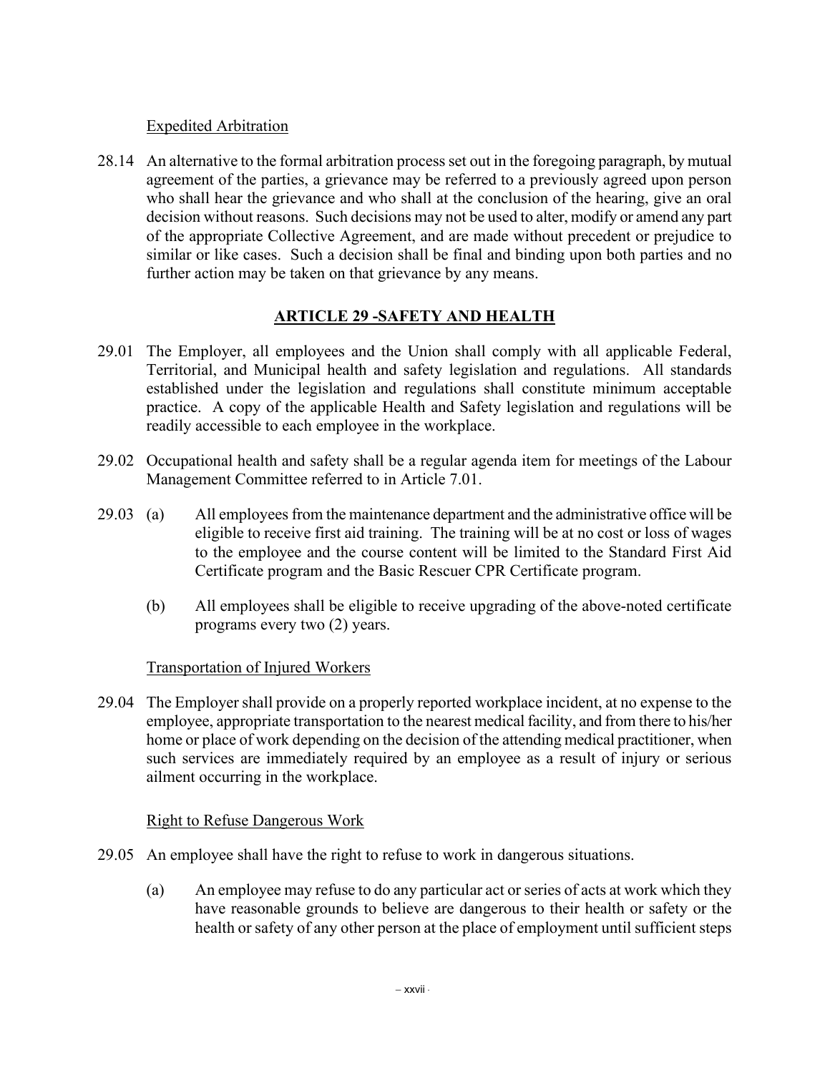#### Expedited Arbitration

28.14 An alternative to the formal arbitration process set out in the foregoing paragraph, by mutual agreement of the parties, a grievance may be referred to a previously agreed upon person who shall hear the grievance and who shall at the conclusion of the hearing, give an oral decision without reasons. Such decisions may not be used to alter, modify or amend any part of the appropriate Collective Agreement, and are made without precedent or prejudice to similar or like cases. Such a decision shall be final and binding upon both parties and no further action may be taken on that grievance by any means.

## **ARTICLE 29 -SAFETY AND HEALTH**

- 29.01 The Employer, all employees and the Union shall comply with all applicable Federal, Territorial, and Municipal health and safety legislation and regulations. All standards established under the legislation and regulations shall constitute minimum acceptable practice. A copy of the applicable Health and Safety legislation and regulations will be readily accessible to each employee in the workplace.
- 29.02 Occupational health and safety shall be a regular agenda item for meetings of the Labour Management Committee referred to in Article 7.01.
- 29.03 (a) All employees from the maintenance department and the administrative office will be eligible to receive first aid training. The training will be at no cost or loss of wages to the employee and the course content will be limited to the Standard First Aid Certificate program and the Basic Rescuer CPR Certificate program.
	- (b) All employees shall be eligible to receive upgrading of the above-noted certificate programs every two (2) years.

### Transportation of Injured Workers

29.04 The Employer shall provide on a properly reported workplace incident, at no expense to the employee, appropriate transportation to the nearest medical facility, and from there to his/her home or place of work depending on the decision of the attending medical practitioner, when such services are immediately required by an employee as a result of injury or serious ailment occurring in the workplace.

### Right to Refuse Dangerous Work

- 29.05 An employee shall have the right to refuse to work in dangerous situations.
	- (a) An employee may refuse to do any particular act or series of acts at work which they have reasonable grounds to believe are dangerous to their health or safety or the health or safety of any other person at the place of employment until sufficient steps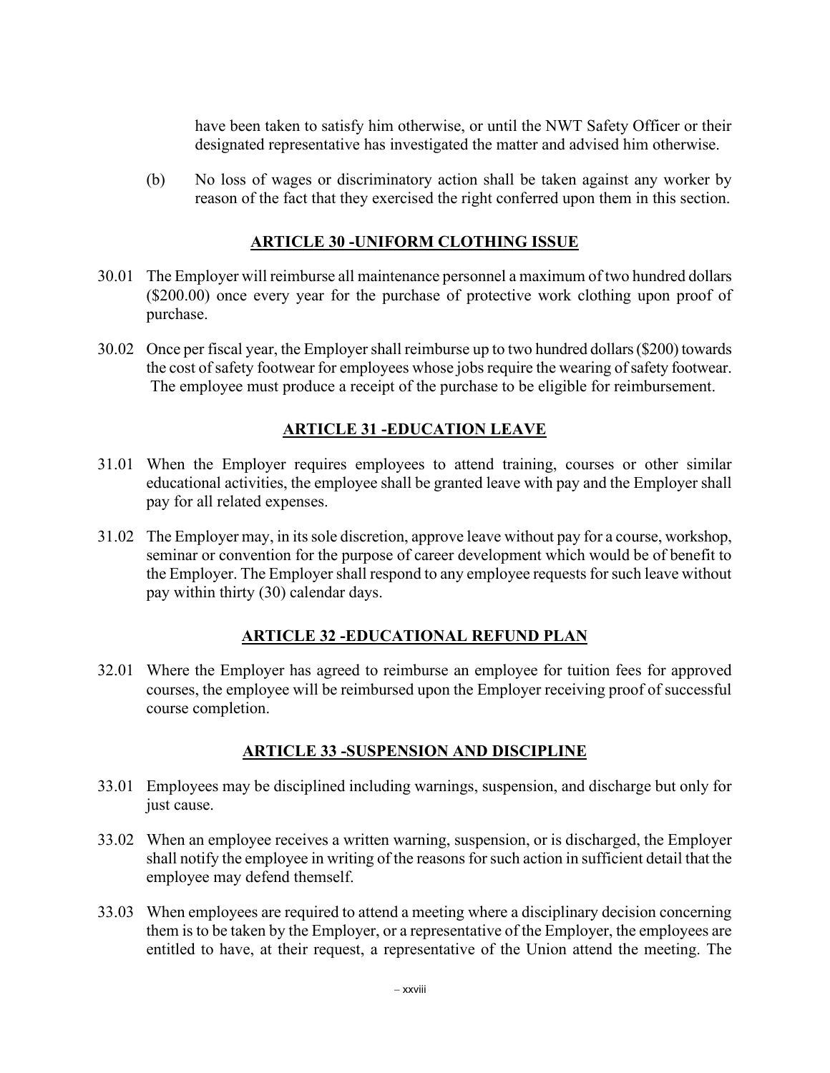have been taken to satisfy him otherwise, or until the NWT Safety Officer or their designated representative has investigated the matter and advised him otherwise.

(b) No loss of wages or discriminatory action shall be taken against any worker by reason of the fact that they exercised the right conferred upon them in this section.

#### **ARTICLE 30 -UNIFORM CLOTHING ISSUE**

- 30.01 The Employer will reimburse all maintenance personnel a maximum of two hundred dollars (\$200.00) once every year for the purchase of protective work clothing upon proof of purchase.
- 30.02 Once per fiscal year, the Employer shall reimburse up to two hundred dollars (\$200) towards the cost of safety footwear for employees whose jobs require the wearing of safety footwear. The employee must produce a receipt of the purchase to be eligible for reimbursement.

## **ARTICLE 31 -EDUCATION LEAVE**

- 31.01 When the Employer requires employees to attend training, courses or other similar educational activities, the employee shall be granted leave with pay and the Employer shall pay for all related expenses.
- 31.02 The Employer may, in its sole discretion, approve leave without pay for a course, workshop, seminar or convention for the purpose of career development which would be of benefit to the Employer. The Employer shall respond to any employee requests for such leave without pay within thirty (30) calendar days.

### **ARTICLE 32 -EDUCATIONAL REFUND PLAN**

32.01 Where the Employer has agreed to reimburse an employee for tuition fees for approved courses, the employee will be reimbursed upon the Employer receiving proof of successful course completion.

### **ARTICLE 33 -SUSPENSION AND DISCIPLINE**

- 33.01 Employees may be disciplined including warnings, suspension, and discharge but only for just cause.
- 33.02 When an employee receives a written warning, suspension, or is discharged, the Employer shall notify the employee in writing of the reasons for such action in sufficient detail that the employee may defend themself.
- 33.03 When employees are required to attend a meeting where a disciplinary decision concerning them is to be taken by the Employer, or a representative of the Employer, the employees are entitled to have, at their request, a representative of the Union attend the meeting. The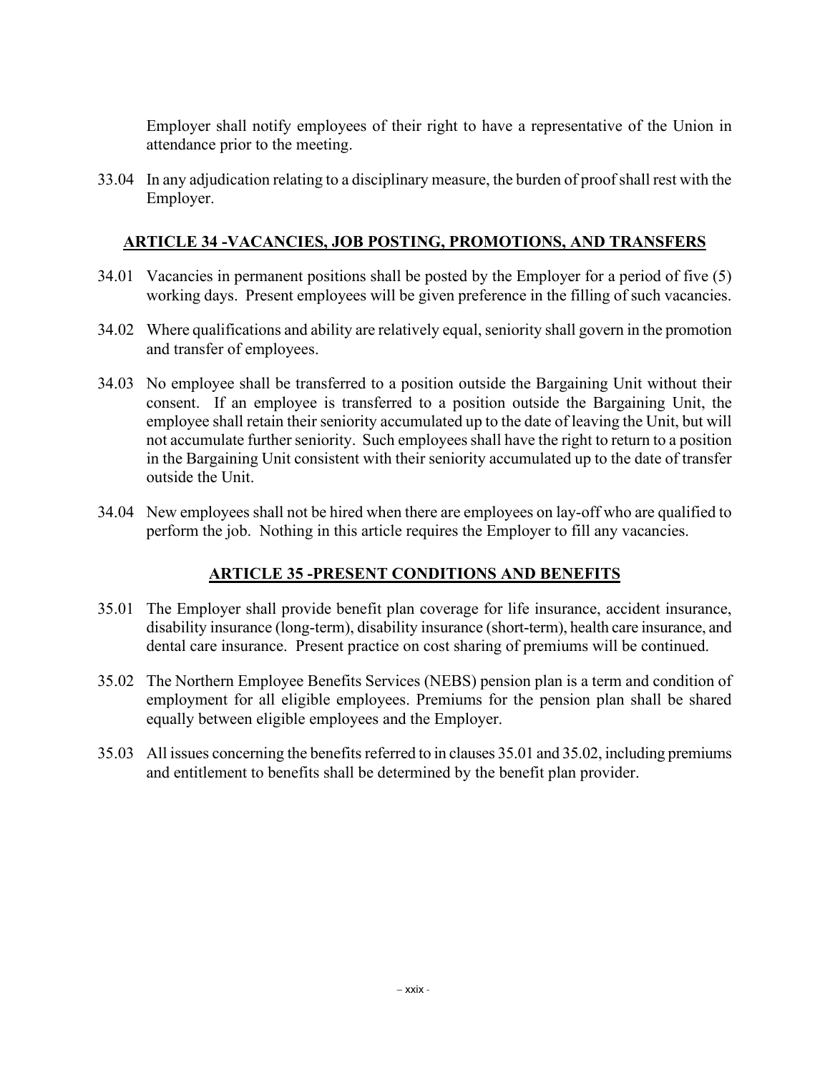Employer shall notify employees of their right to have a representative of the Union in attendance prior to the meeting.

33.04 In any adjudication relating to a disciplinary measure, the burden of proof shall rest with the Employer.

#### **ARTICLE 34 -VACANCIES, JOB POSTING, PROMOTIONS, AND TRANSFERS**

- 34.01 Vacancies in permanent positions shall be posted by the Employer for a period of five (5) working days. Present employees will be given preference in the filling of such vacancies.
- 34.02 Where qualifications and ability are relatively equal, seniority shall govern in the promotion and transfer of employees.
- 34.03 No employee shall be transferred to a position outside the Bargaining Unit without their consent. If an employee is transferred to a position outside the Bargaining Unit, the employee shall retain their seniority accumulated up to the date of leaving the Unit, but will not accumulate further seniority. Such employees shall have the right to return to a position in the Bargaining Unit consistent with their seniority accumulated up to the date of transfer outside the Unit.
- 34.04 New employees shall not be hired when there are employees on lay-off who are qualified to perform the job. Nothing in this article requires the Employer to fill any vacancies.

### **ARTICLE 35 -PRESENT CONDITIONS AND BENEFITS**

- 35.01 The Employer shall provide benefit plan coverage for life insurance, accident insurance, disability insurance (long-term), disability insurance (short-term), health care insurance, and dental care insurance. Present practice on cost sharing of premiums will be continued.
- 35.02 The Northern Employee Benefits Services (NEBS) pension plan is a term and condition of employment for all eligible employees. Premiums for the pension plan shall be shared equally between eligible employees and the Employer.
- 35.03 All issues concerning the benefits referred to in clauses 35.01 and 35.02, including premiums and entitlement to benefits shall be determined by the benefit plan provider.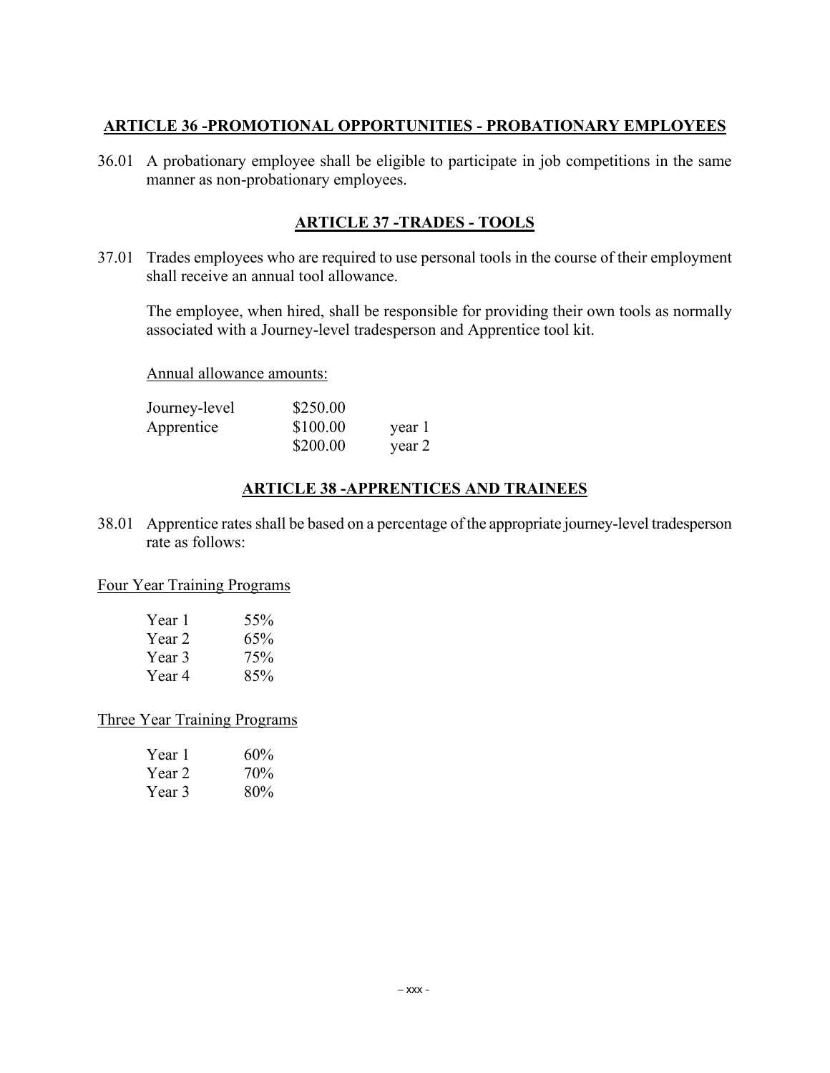### **ARTICLE 36 -PROMOTIONAL OPPORTUNITIES - PROBATIONARY EMPLOYEES**

36.01 A probationary employee shall be eligible to participate in job competitions in the same manner as non-probationary employees.

### **ARTICLE 37 -TRADES - TOOLS**

37.01 Trades employees who are required to use personal tools in the course of their employment shall receive an annual tool allowance.

The employee, when hired, shall be responsible for providing their own tools as normally associated with a Journey-level tradesperson and Apprentice tool kit.

Annual allowance amounts:

| Journey-level | \$250.00 |        |
|---------------|----------|--------|
| Apprentice    | \$100.00 | year 1 |
|               | \$200.00 | year 2 |

# **ARTICLE 38 -APPRENTICES AND TRAINEES**

38.01 Apprentice rates shall be based on a percentage of the appropriate journey-level tradesperson rate as follows:

#### Four Year Training Programs

| Year 1 | 55% |
|--------|-----|
| Year 2 | 65% |
| Year 3 | 75% |
| Year 4 | 85% |

#### Three Year Training Programs

| Year 1 | 60% |
|--------|-----|
| Year 2 | 70% |
| Year 3 | 80% |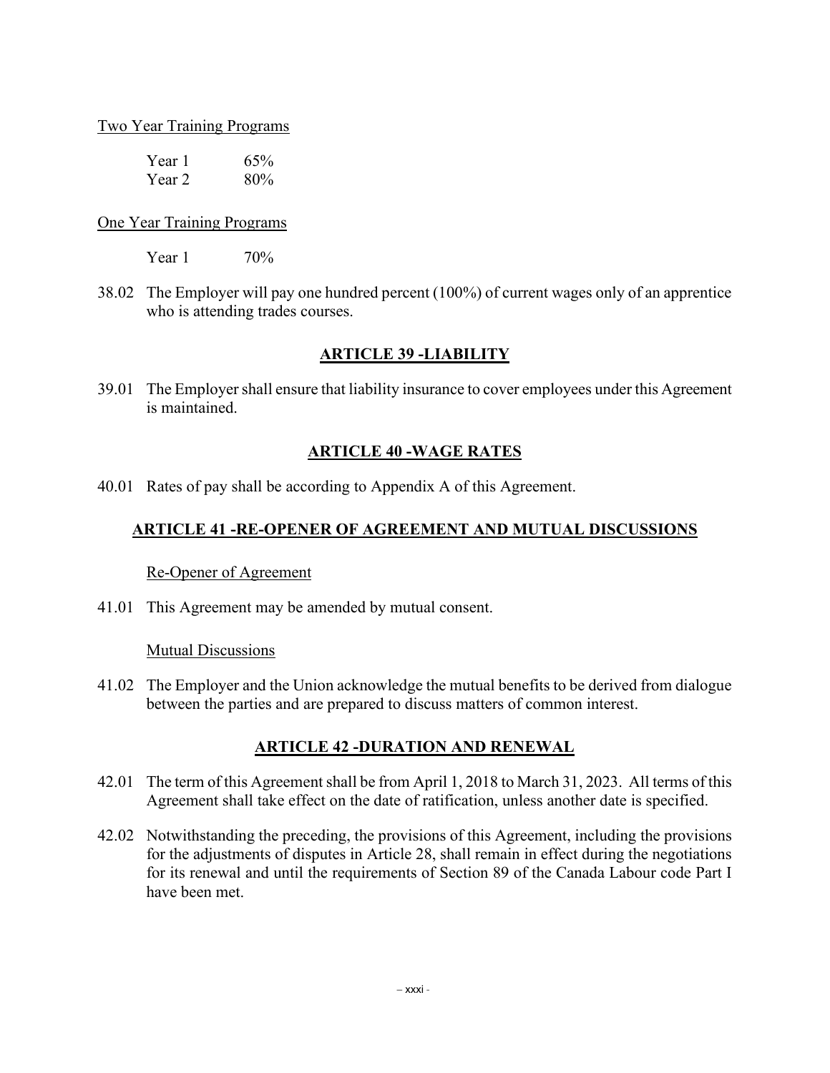#### Two Year Training Programs

| Year 1 | 65% |
|--------|-----|
| Year 2 | 80% |

#### One Year Training Programs

Year 1 70<sup>%</sup>

38.02 The Employer will pay one hundred percent (100%) of current wages only of an apprentice who is attending trades courses.

#### **ARTICLE 39 -LIABILITY**

39.01 The Employer shall ensure that liability insurance to cover employees under this Agreement is maintained.

### **ARTICLE 40 -WAGE RATES**

40.01 Rates of pay shall be according to Appendix A of this Agreement.

### **ARTICLE 41 -RE-OPENER OF AGREEMENT AND MUTUAL DISCUSSIONS**

#### Re-Opener of Agreement

41.01 This Agreement may be amended by mutual consent.

#### Mutual Discussions

41.02 The Employer and the Union acknowledge the mutual benefits to be derived from dialogue between the parties and are prepared to discuss matters of common interest.

### **ARTICLE 42 -DURATION AND RENEWAL**

- 42.01 The term of this Agreement shall be from April 1, 2018 to March 31, 2023. All terms of this Agreement shall take effect on the date of ratification, unless another date is specified.
- 42.02 Notwithstanding the preceding, the provisions of this Agreement, including the provisions for the adjustments of disputes in Article 28, shall remain in effect during the negotiations for its renewal and until the requirements of Section 89 of the Canada Labour code Part I have been met.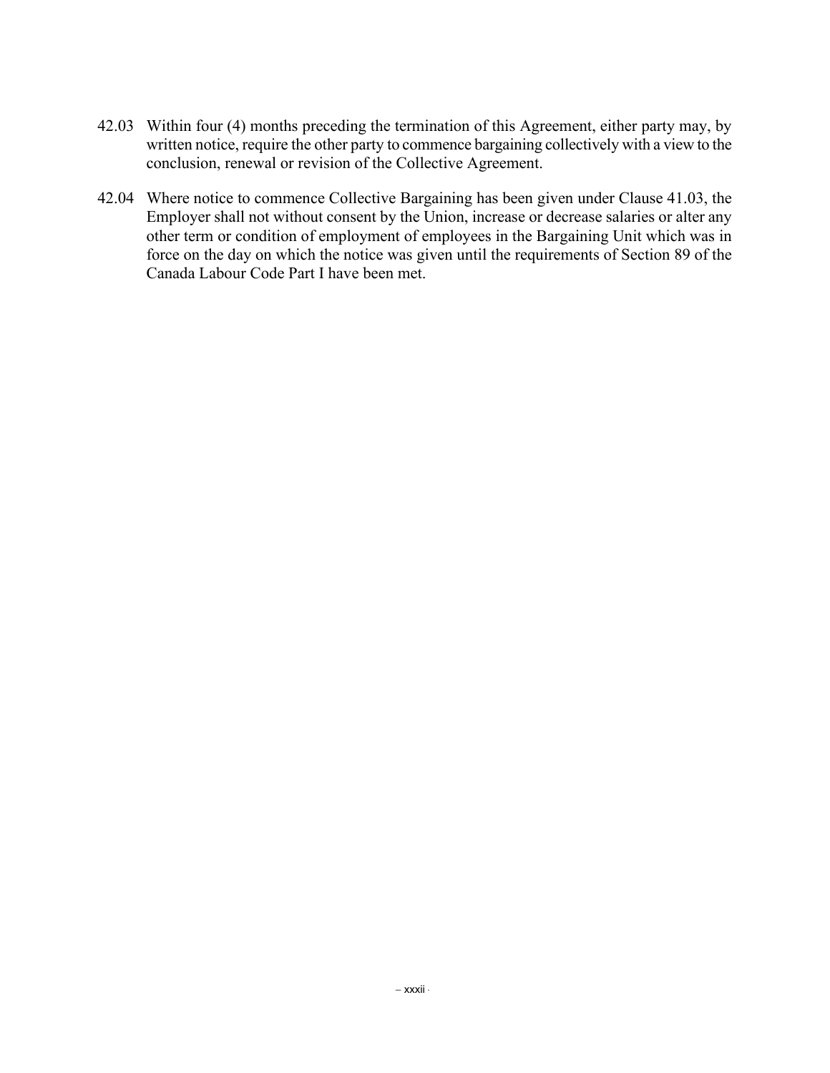- 42.03 Within four (4) months preceding the termination of this Agreement, either party may, by written notice, require the other party to commence bargaining collectively with a view to the conclusion, renewal or revision of the Collective Agreement.
- 42.04 Where notice to commence Collective Bargaining has been given under Clause 41.03, the Employer shall not without consent by the Union, increase or decrease salaries or alter any other term or condition of employment of employees in the Bargaining Unit which was in force on the day on which the notice was given until the requirements of Section 89 of the Canada Labour Code Part I have been met.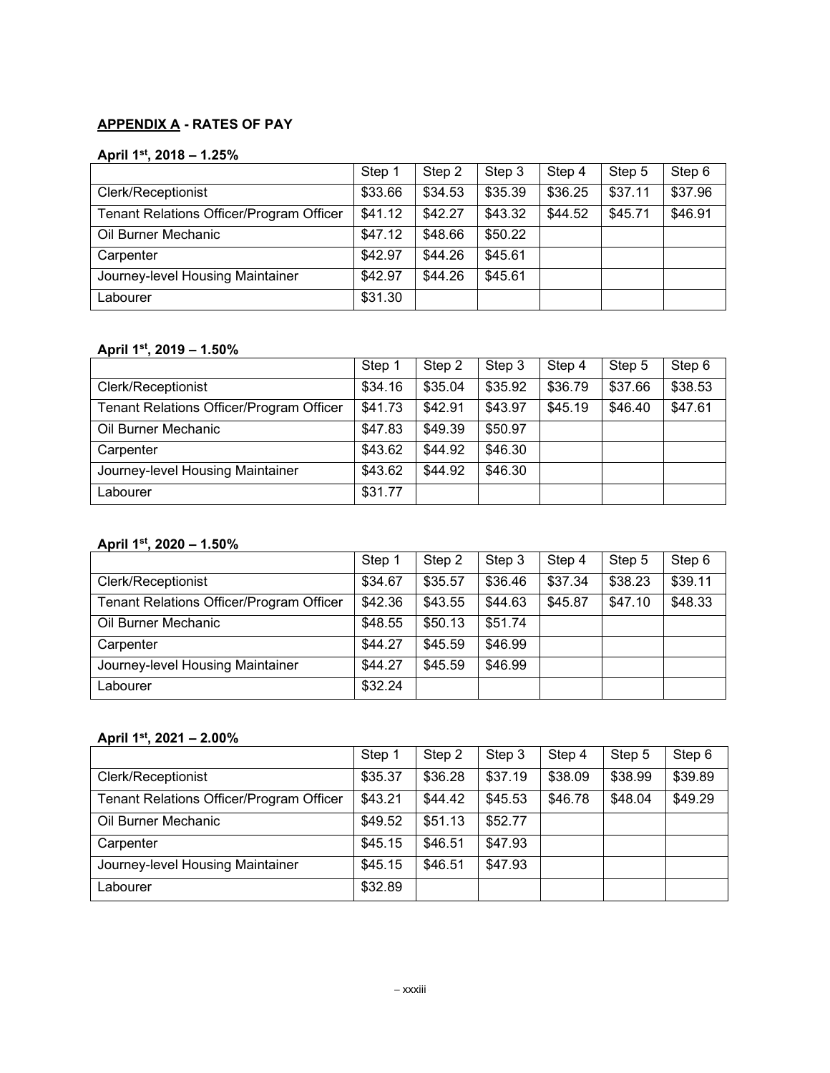## **APPENDIX A - RATES OF PAY**

#### **April 1st, 2018 – 1.25%**

|                                          | Step 1  | Step 2  | Step 3  | Step 4  | Step 5  | Step 6  |
|------------------------------------------|---------|---------|---------|---------|---------|---------|
| <b>Clerk/Receptionist</b>                | \$33.66 | \$34.53 | \$35.39 | \$36.25 | \$37.11 | \$37.96 |
| Tenant Relations Officer/Program Officer | \$41.12 | \$42.27 | \$43.32 | \$44.52 | \$45.71 | \$46.91 |
| Oil Burner Mechanic                      | \$47.12 | \$48.66 | \$50.22 |         |         |         |
| Carpenter                                | \$42.97 | \$44.26 | \$45.61 |         |         |         |
| Journey-level Housing Maintainer         | \$42.97 | \$44.26 | \$45.61 |         |         |         |
| Labourer                                 | \$31.30 |         |         |         |         |         |

#### **April 1st, 2019 – 1.50%**

|                                          | Step 1  | Step 2  | Step 3  | Step 4  | Step 5  | Step 6  |
|------------------------------------------|---------|---------|---------|---------|---------|---------|
| Clerk/Receptionist                       | \$34.16 | \$35.04 | \$35.92 | \$36.79 | \$37.66 | \$38.53 |
| Tenant Relations Officer/Program Officer | \$41.73 | \$42.91 | \$43.97 | \$45.19 | \$46.40 | \$47.61 |
| Oil Burner Mechanic                      | \$47.83 | \$49.39 | \$50.97 |         |         |         |
| Carpenter                                | \$43.62 | \$44.92 | \$46.30 |         |         |         |
| Journey-level Housing Maintainer         | \$43.62 | \$44.92 | \$46.30 |         |         |         |
| Labourer                                 | \$31.77 |         |         |         |         |         |

#### **April 1st, 2020 – 1.50%**

|                                                 | Step 1  | Step 2  | Step 3  | Step 4  | Step 5  | Step 6  |
|-------------------------------------------------|---------|---------|---------|---------|---------|---------|
| <b>Clerk/Receptionist</b>                       | \$34.67 | \$35.57 | \$36.46 | \$37.34 | \$38.23 | \$39.11 |
| <b>Tenant Relations Officer/Program Officer</b> | \$42.36 | \$43.55 | \$44.63 | \$45.87 | \$47.10 | \$48.33 |
| Oil Burner Mechanic                             | \$48.55 | \$50.13 | \$51.74 |         |         |         |
| Carpenter                                       | \$44.27 | \$45.59 | \$46.99 |         |         |         |
| Journey-level Housing Maintainer                | \$44.27 | \$45.59 | \$46.99 |         |         |         |
| Labourer                                        | \$32.24 |         |         |         |         |         |

#### **April 1st, 2021 – 2.00%**

|                                          | Step 1  | Step 2  | Step 3  | Step 4  | Step 5  | Step 6  |
|------------------------------------------|---------|---------|---------|---------|---------|---------|
| Clerk/Receptionist                       | \$35.37 | \$36.28 | \$37.19 | \$38.09 | \$38.99 | \$39.89 |
| Tenant Relations Officer/Program Officer | \$43.21 | \$44.42 | \$45.53 | \$46.78 | \$48.04 | \$49.29 |
| Oil Burner Mechanic                      | \$49.52 | \$51.13 | \$52.77 |         |         |         |
| Carpenter                                | \$45.15 | \$46.51 | \$47.93 |         |         |         |
| Journey-level Housing Maintainer         | \$45.15 | \$46.51 | \$47.93 |         |         |         |
| Labourer                                 | \$32.89 |         |         |         |         |         |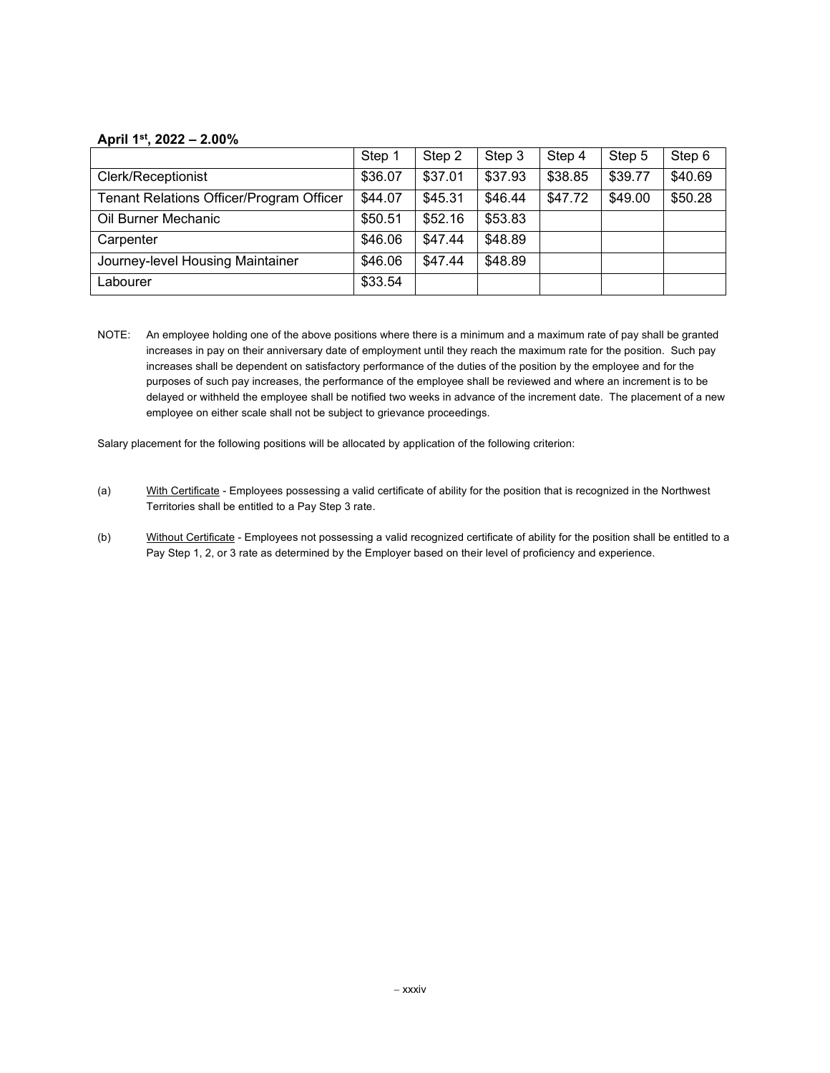#### **April 1st, 2022 – 2.00%**

|                                          | Step 1  | Step 2  | Step 3  | Step 4  | Step 5  | Step 6  |
|------------------------------------------|---------|---------|---------|---------|---------|---------|
| Clerk/Receptionist                       | \$36.07 | \$37.01 | \$37.93 | \$38.85 | \$39.77 | \$40.69 |
| Tenant Relations Officer/Program Officer | \$44.07 | \$45.31 | \$46.44 | \$47.72 | \$49.00 | \$50.28 |
| Oil Burner Mechanic                      | \$50.51 | \$52.16 | \$53.83 |         |         |         |
| Carpenter                                | \$46.06 | \$47.44 | \$48.89 |         |         |         |
| Journey-level Housing Maintainer         | \$46.06 | \$47.44 | \$48.89 |         |         |         |
| Labourer                                 | \$33.54 |         |         |         |         |         |

NOTE: An employee holding one of the above positions where there is a minimum and a maximum rate of pay shall be granted increases in pay on their anniversary date of employment until they reach the maximum rate for the position. Such pay increases shall be dependent on satisfactory performance of the duties of the position by the employee and for the purposes of such pay increases, the performance of the employee shall be reviewed and where an increment is to be delayed or withheld the employee shall be notified two weeks in advance of the increment date. The placement of a new employee on either scale shall not be subject to grievance proceedings.

Salary placement for the following positions will be allocated by application of the following criterion:

- (a) With Certificate Employees possessing a valid certificate of ability for the position that is recognized in the Northwest Territories shall be entitled to a Pay Step 3 rate.
- (b) Without Certificate Employees not possessing a valid recognized certificate of ability for the position shall be entitled to a Pay Step 1, 2, or 3 rate as determined by the Employer based on their level of proficiency and experience.